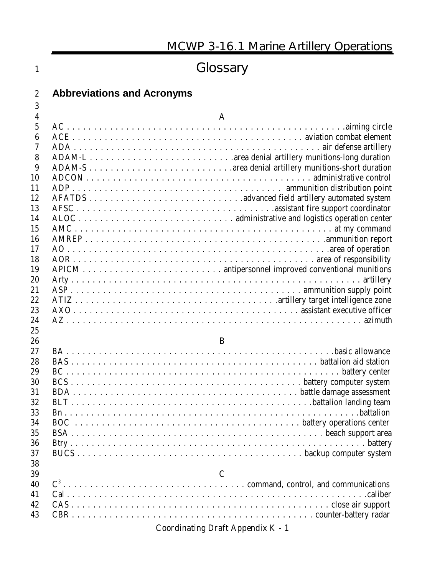| <b>Abbreviations and Acronyms</b><br>$\boldsymbol{2}$<br>3<br>4<br>$\mathbf{A}$<br>$\overline{5}$<br>$\boldsymbol{6}$<br>7<br>8<br>9<br>10<br>11<br>12<br>13<br>14<br>15<br>16<br>17<br>18<br>19<br>20<br>21<br>22<br>23<br>24<br>25<br>26<br>B<br>27<br>28<br>29<br>30 | 1  | Glossary |
|-------------------------------------------------------------------------------------------------------------------------------------------------------------------------------------------------------------------------------------------------------------------------|----|----------|
|                                                                                                                                                                                                                                                                         |    |          |
|                                                                                                                                                                                                                                                                         |    |          |
|                                                                                                                                                                                                                                                                         |    |          |
|                                                                                                                                                                                                                                                                         |    |          |
|                                                                                                                                                                                                                                                                         |    |          |
|                                                                                                                                                                                                                                                                         |    |          |
|                                                                                                                                                                                                                                                                         |    |          |
|                                                                                                                                                                                                                                                                         |    |          |
|                                                                                                                                                                                                                                                                         |    |          |
|                                                                                                                                                                                                                                                                         |    |          |
|                                                                                                                                                                                                                                                                         |    |          |
|                                                                                                                                                                                                                                                                         |    |          |
|                                                                                                                                                                                                                                                                         |    |          |
|                                                                                                                                                                                                                                                                         |    |          |
|                                                                                                                                                                                                                                                                         |    |          |
|                                                                                                                                                                                                                                                                         |    |          |
|                                                                                                                                                                                                                                                                         |    |          |
|                                                                                                                                                                                                                                                                         |    |          |
|                                                                                                                                                                                                                                                                         |    |          |
|                                                                                                                                                                                                                                                                         |    |          |
|                                                                                                                                                                                                                                                                         |    |          |
|                                                                                                                                                                                                                                                                         |    |          |
|                                                                                                                                                                                                                                                                         |    |          |
|                                                                                                                                                                                                                                                                         |    |          |
|                                                                                                                                                                                                                                                                         |    |          |
|                                                                                                                                                                                                                                                                         |    |          |
|                                                                                                                                                                                                                                                                         |    |          |
|                                                                                                                                                                                                                                                                         |    |          |
|                                                                                                                                                                                                                                                                         | 31 |          |
| 32                                                                                                                                                                                                                                                                      |    |          |
| 33                                                                                                                                                                                                                                                                      |    |          |
| 34                                                                                                                                                                                                                                                                      |    |          |
| 35                                                                                                                                                                                                                                                                      |    |          |
| 36                                                                                                                                                                                                                                                                      |    |          |
| 37                                                                                                                                                                                                                                                                      |    |          |
| 38                                                                                                                                                                                                                                                                      |    |          |
| $\mathbf C$<br>39<br>40                                                                                                                                                                                                                                                 |    |          |
| 41                                                                                                                                                                                                                                                                      |    |          |
| 42                                                                                                                                                                                                                                                                      |    |          |
| 43                                                                                                                                                                                                                                                                      |    |          |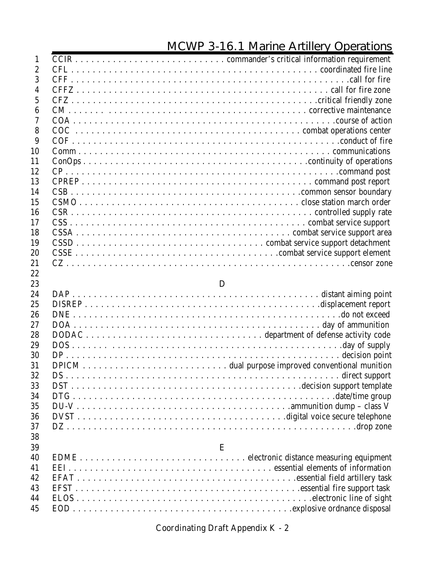| $\mathbf{1}$    |   |
|-----------------|---|
| $\overline{2}$  |   |
| 3               |   |
| 4               |   |
| $\overline{5}$  |   |
| $6\phantom{1}6$ |   |
| 7               |   |
| 8               |   |
| 9               |   |
| 10              |   |
| 11              |   |
| 12              |   |
| 13              |   |
| 14              |   |
| 15              |   |
| 16              |   |
| 17              |   |
| 18              |   |
| 19              |   |
| 20              |   |
| 21              |   |
| 22              |   |
| 23              | D |
| 24              |   |
| 25              |   |
| 26              |   |
| 27              |   |
| 28              |   |
| 29              |   |
| 30              |   |
| 31<br>32        |   |
| 33              |   |
| 34              |   |
|                 |   |
| 35              |   |
| 36<br>37        |   |
| 38              |   |
| 39              | E |
| 40              |   |
| 41              |   |
| 42              |   |
| 43              |   |
| 44              |   |
| 45              |   |
|                 |   |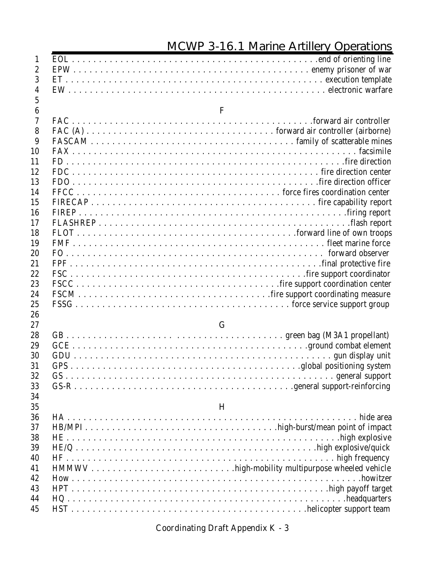| $\mathbf{1}$     |              |
|------------------|--------------|
| $\boldsymbol{2}$ |              |
| 3                |              |
| $\overline{4}$   |              |
| $\overline{5}$   |              |
| $6\phantom{.}6$  | $\mathbf{F}$ |
| $\tau$           |              |
| 8                |              |
| 9                |              |
| 10               |              |
| 11               |              |
| 12               |              |
| 13               |              |
| 14               |              |
| 15               |              |
| 16               |              |
| 17               |              |
| 18               |              |
| 19               |              |
| 20               |              |
| 21               |              |
| 22               |              |
| 23               |              |
| 24               |              |
| 25               |              |
| 26               |              |
| 27               | G            |
| 28               |              |
| 29               |              |
| 30               |              |
| 31               |              |
| 32               |              |
| 33               |              |
| 34               |              |
| 35               | $\bf{H}$     |
| 36               |              |
| 37               |              |
| 38               |              |
| 39               |              |
| 40               |              |
| 41               |              |
| 42               |              |
| 43               |              |
| 44               |              |
| 45               |              |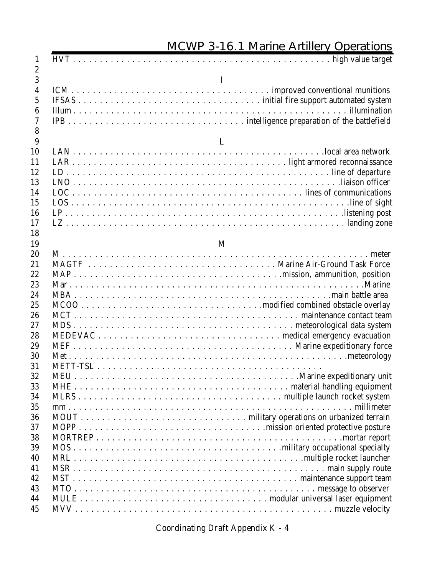| $\mathbf{1}$                                                                                |          |
|---------------------------------------------------------------------------------------------|----------|
| $\boldsymbol{2}$                                                                            |          |
| 3<br>$\boldsymbol{4}$<br>$\overline{5}$<br>$6\phantom{.}6$<br>$\overline{\mathcal{U}}$<br>8 | $\bf{I}$ |
| 9                                                                                           | L        |
| 10<br>11<br>12<br>13<br>14<br>15<br>16<br>17<br>18                                          |          |
| 19                                                                                          | M        |
| 20                                                                                          |          |
| 21<br>22                                                                                    |          |
| 23                                                                                          |          |
| 24                                                                                          |          |
| 25<br>26                                                                                    |          |
| 27                                                                                          |          |
| 28                                                                                          |          |
| 29                                                                                          |          |
| 30                                                                                          |          |
| 31                                                                                          |          |
| 32                                                                                          |          |
| 33                                                                                          |          |
| 34                                                                                          |          |
| 35                                                                                          |          |
| 36                                                                                          |          |
| 37                                                                                          |          |
| 38                                                                                          |          |
| 39                                                                                          |          |
| 40                                                                                          |          |
| 41                                                                                          |          |
| 42<br>43                                                                                    |          |
| 44                                                                                          |          |
| 45                                                                                          |          |
|                                                                                             |          |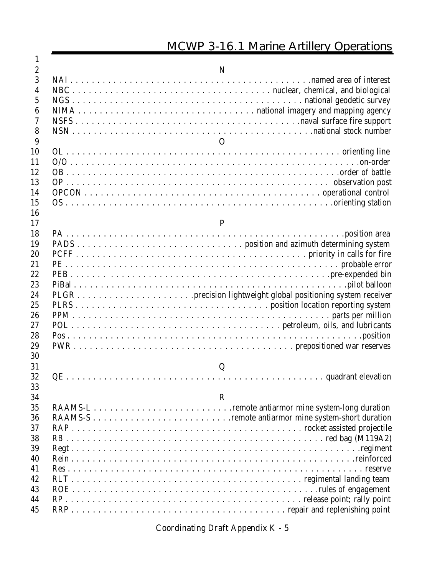| 1                |              |
|------------------|--------------|
| $\boldsymbol{2}$ | N            |
| 3                |              |
| 4                |              |
| $\overline{5}$   |              |
| 6                |              |
| 7                |              |
| 8                |              |
| 9                | $\mathbf{O}$ |
| 10               |              |
| 11               |              |
| 12               |              |
| 13               |              |
| 14               |              |
| 15               |              |
| 16               |              |
| 17               | P            |
| 18               |              |
| 19               |              |
| 20               |              |
| 21               |              |
| 22               |              |
| 23               |              |
| 24               |              |
| 25<br>26         |              |
| 27               |              |
| 28               |              |
| 29               |              |
| 30               |              |
| 31               | Q            |
| 32               |              |
| 33               |              |
| 34               | $\bf{R}$     |
| 35               |              |
| 36               |              |
| 37               |              |
| 38               |              |
| 39               |              |
| 40               |              |
| 41               |              |
| 42               |              |
| 43               |              |
| 44               |              |
| 45               |              |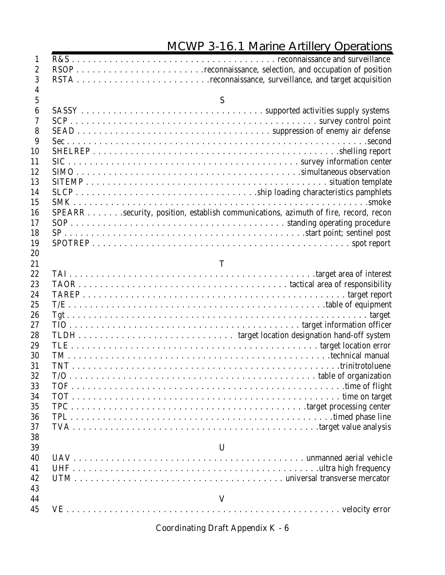| $\mathbf{1}$     |                                                                                     |
|------------------|-------------------------------------------------------------------------------------|
| $\boldsymbol{2}$ |                                                                                     |
| 3                |                                                                                     |
| $\overline{4}$   |                                                                                     |
| $\mathbf{5}$     | S                                                                                   |
| $\boldsymbol{6}$ |                                                                                     |
| 7                |                                                                                     |
| 8                |                                                                                     |
| 9                |                                                                                     |
| 10               |                                                                                     |
| 11               |                                                                                     |
| 12               |                                                                                     |
| 13               |                                                                                     |
| 14               |                                                                                     |
| 15               |                                                                                     |
| 16               | SPEARR security, position, establish communications, azimuth of fire, record, recon |
| 17               |                                                                                     |
| 18               |                                                                                     |
| 19               |                                                                                     |
| 20               |                                                                                     |
| 21               | T                                                                                   |
| 22               |                                                                                     |
| 23               |                                                                                     |
| 24               |                                                                                     |
| 25               |                                                                                     |
| 26               |                                                                                     |
| 27               |                                                                                     |
| 28               |                                                                                     |
| 29               |                                                                                     |
| 30               |                                                                                     |
| 31               |                                                                                     |
| 32               |                                                                                     |
| 33               |                                                                                     |
| 34               |                                                                                     |
| 35               |                                                                                     |
| 36               |                                                                                     |
| 37               |                                                                                     |
| 38               |                                                                                     |
| 39               | $\mathbf U$                                                                         |
| 40               |                                                                                     |
| 41               |                                                                                     |
| 42               |                                                                                     |
| 43               |                                                                                     |
| 44               | V                                                                                   |
| 45               |                                                                                     |
|                  |                                                                                     |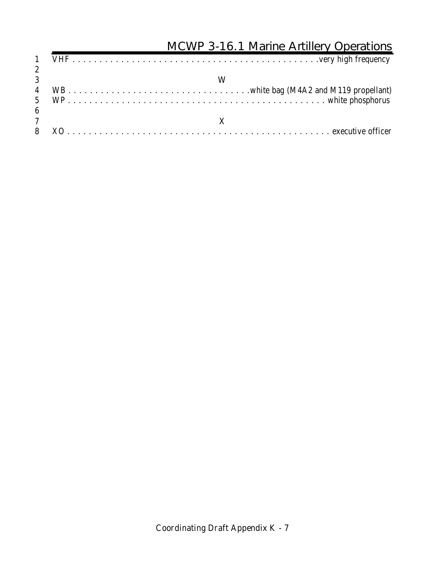#### **MCWP 3-16.1 Marine Artillery Operations** VHF . . . . . . . . . . . . . . . . . . . . . . . . . . . . . . . . . . . . . . . . . . . . . .very high frequency **W** WB . . . . . . . . . . . . . . . . . . . . . . . . . . . . . . . . . .white bag (M4A2 and M119 propellant) WP . . . . . . . . . . . . . . . . . . . . . . . . . . . . . . . . . . . . . . . . . . . . . . . . white phosphorus  $\frac{6}{7}$  **X** XO . . . . . . . . . . . . . . . . . . . . . . . . . . . . . . . . . . . . . . . . . . . . . . . . . executive officer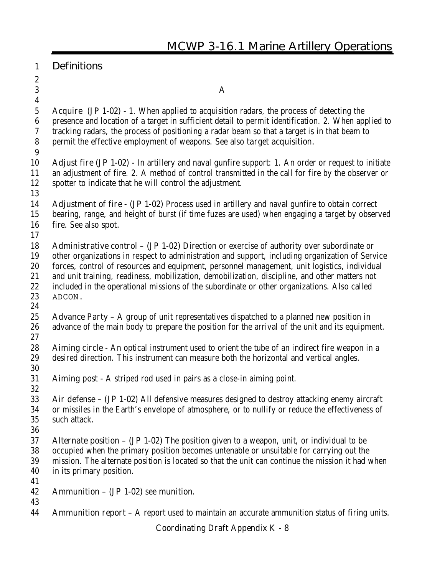- 
- 

 $3 \quad A$ 

 **Acquire (JP 1-02) -** 1. When applied to acquisition radars, the process of detecting the presence and location of a target in sufficient detail to permit identification. 2. When applied to tracking radars, the process of positioning a radar beam so that a target is in that beam to permit the effective employment of weapons. See also **target acquisition.** 

- **Adjust fire (JP 1-02) -** In artillery and naval gunfire support: 1. An order or request to initiate an adjustment of fire. 2. A method of control transmitted in the call for fire by the observer or spotter to indicate that he will control the adjustment.
- 
- **Adjustment of fire (JP 1-02)** Process used in artillery and naval gunfire to obtain correct bearing, range, and height of burst (if time fuzes are used) when engaging a target by observed fire. See also **spot.**
- 

 **Administrative control – (JP 1-02)** Direction or exercise of authority over subordinate or other organizations in respect to administration and support, including organization of Service forces, control of resources and equipment, personnel management, unit logistics, individual and unit training, readiness, mobilization, demobilization, discipline, and other matters not included in the operational missions of the subordinate or other organizations. Also called **ADCON.**

- 
- **Advance Party** A group of unit representatives dispatched to a planned new position in advance of the main body to prepare the position for the arrival of the unit and its equipment.
- 

 **Aiming circle -** An optical instrument used to orient the tube of an indirect fire weapon in a desired direction. This instrument can measure both the horizontal and vertical angles.

- **Aiming post -** A striped rod used in pairs as a close-in aiming point.
- **Air defense – (JP 1-02)** All defensive measures designed to destroy attacking enemy aircraft or missiles in the Earth's envelope of atmosphere, or to nullify or reduce the effectiveness of such attack.
- 
- **Alternate position (JP 1-02)** The position given to a weapon, unit, or individual to be occupied when the primary position becomes untenable or unsuitable for carrying out the mission. The alternate position is located so that the unit can continue the mission it had when in its primary position.
- 
- **Ammunition (JP 1-02)** see **munition**.
- 
- **Ammunition report** A report used to maintain an accurate ammunition status of firing units.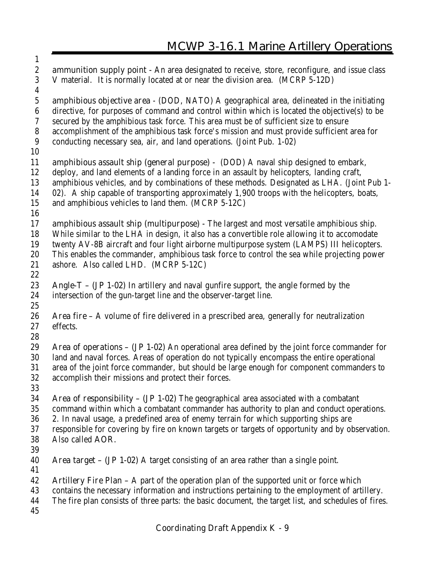**ammunition supply point -** An area designated to receive, store, reconfigure, and issue class V material. It is normally located at or near the division area. (MCRP 5-12D) **amphibious objective area** - (DOD, NATO) A geographical area, delineated in the initiating directive, for purposes of command and control within which is located the objective(s) to be secured by the amphibious task force. This area must be of sufficient size to ensure accomplishment of the amphibious task force's mission and must provide sufficient area for conducting necessary sea, air, and land operations. (Joint Pub. 1-02) **amphibious assault ship (general purpose) -** (DOD) A naval ship designed to embark, deploy, and land elements of a landing force in an assault by helicopters, landing craft, amphibious vehicles, and by combinations of these methods. Designated as LHA. (Joint Pub 1- 02). A ship capable of transporting approximately 1,900 troops with the helicopters, boats, and amphibious vehicles to land them. (MCRP 5-12C) **amphibious assault ship (multipurpose) -** The largest and most versatile amphibious ship. While similar to the LHA in design, it also has a convertible role allowing it to accomodate twenty AV-8B aircraft and four light airborne multipurpose system (LAMPS) III helicopters. This enables the commander, amphibious task force to control the sea while projecting power ashore. Also called LHD. (MCRP 5-12C) **Angle-T – (JP 1-02)** In artillery and naval gunfire support, the angle formed by the intersection of the gun-target line and the observer-target line. **Area fire –** A volume of fire delivered in a prescribed area, generally for neutralization effects. **Area of operations – (JP 1-02)** An operational area defined by the joint force commander for land and naval forces. Areas of operation do not typically encompass the entire operational area of the joint force commander, but should be large enough for component commanders to accomplish their missions and protect their forces. **Area of responsibility – (JP 1-02)** The geographical area associated with a combatant command within which a combatant commander has authority to plan and conduct operations. 2. In naval usage, a predefined area of enemy terrain for which supporting ships are responsible for covering by fire on known targets or targets of opportunity and by observation. Also called **AOR. Area target – (JP 1-02)** A target consisting of an area rather than a single point. **Artillery Fire Plan –** A part of the operation plan of the supported unit or force which contains the necessary information and instructions pertaining to the employment of artillery. The fire plan consists of three parts: the basic document, the target list, and schedules of fires.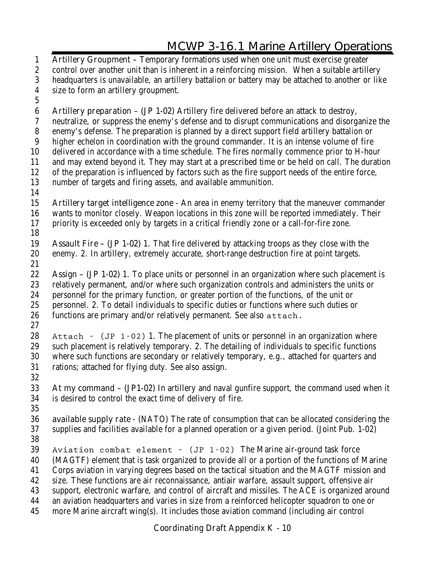**Artillery Groupment –** Temporary formations used when one unit must exercise greater control over another unit than is inherent in a reinforcing mission. When a suitable artillery headquarters is unavailable, an artillery battalion or battery may be attached to another or like size to form an artillery groupment. **Artillery preparation – (JP 1-02)** Artillery fire delivered before an attack to destroy, neutralize, or suppress the enemy's defense and to disrupt communications and disorganize the enemy's defense. The preparation is planned by a direct support field artillery battalion or higher echelon in coordination with the ground commander. It is an intense volume of fire delivered in accordance with a time schedule. The fires normally commence prior to H-hour and may extend beyond it. They may start at a prescribed time or be held on call. The duration of the preparation is influenced by factors such as the fire support needs of the entire force, number of targets and firing assets, and available ammunition. **Artillery target intelligence zone -** An area in enemy territory that the maneuver commander wants to monitor closely. Weapon locations in this zone will be reported immediately. Their priority is exceeded only by targets in a critical friendly zone or a call-for-fire zone. **Assault Fire – (JP 1-02)** 1. That fire delivered by attacking troops as they close with the enemy. 2. In artillery, extremely accurate, short-range destruction fire at point targets. **Assign – (JP 1-02)** 1. To place units or personnel in an organization where such placement is relatively permanent, and/or where such organization controls and administers the units or personnel for the primary function, or greater portion of the functions, of the unit or personnel. 2. To detail individuals to specific duties or functions where such duties or functions are primary and/or relatively permanent. See also **attach. Attach – (JP 1-02)** 1. The placement of units or personnel in an organization where such placement is relatively temporary. 2. The detailing of individuals to specific functions where such functions are secondary or relatively temporary, e.g., attached for quarters and rations; attached for flying duty. See also **assign. At my command – (JP1-02)** In artillery and naval gunfire support, the command used when it is desired to control the exact time of delivery of fire. **available supply rate** - (NATO) The rate of consumption that can be allocated considering the supplies and facilities available for a planned operation or a given period. (Joint Pub. 1-02) **Aviation combat element – (JP 1-02)** The Marine air-ground task force (MAGTF) element that is task organized to provide all or a portion of the functions of Marine Corps aviation in varying degrees based on the tactical situation and the MAGTF mission and size. These functions are air reconnaissance, antiair warfare, assault support, offensive air support, electronic warfare, and control of aircraft and missiles. The ACE is organized around an aviation headquarters and varies in size from a reinforced helicopter squadron to one or more Marine aircraft wing(s). It includes those aviation command (including air control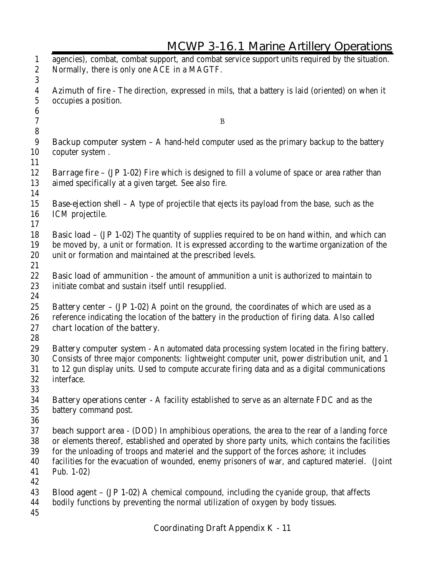| $\mathbf{1}$<br>$\boldsymbol{2}$    | agencies), combat, combat support, and combat service support units required by the situation.<br>Normally, there is only one ACE in a MAGTF.                                                                                                                                                                                                                                                                           |
|-------------------------------------|-------------------------------------------------------------------------------------------------------------------------------------------------------------------------------------------------------------------------------------------------------------------------------------------------------------------------------------------------------------------------------------------------------------------------|
| 3<br>$\boldsymbol{4}$<br>$\sqrt{5}$ | Azimuth of fire - The direction, expressed in mils, that a battery is laid (oriented) on when it<br>occupies a position.                                                                                                                                                                                                                                                                                                |
| $\boldsymbol{6}$<br>$\rm 7$         | $\mathbf B$                                                                                                                                                                                                                                                                                                                                                                                                             |
| $\bf 8$<br>9<br>10                  | <b>Backup computer system <math>-</math></b> A hand-held computer used as the primary backup to the battery<br>coputer system.                                                                                                                                                                                                                                                                                          |
| 11<br>12<br>13                      | <b>Barrage fire – (JP 1-02)</b> Fire which is designed to fill a volume of space or area rather than<br>aimed specifically at a given target. See also fire.                                                                                                                                                                                                                                                            |
| 14<br>15<br>16                      | <b>Base-ejection shell</b> – A type of projectile that ejects its payload from the base, such as the<br>ICM projectile.                                                                                                                                                                                                                                                                                                 |
| 17<br>18<br>19<br>20                | <b>Basic load - (JP 1-02)</b> The quantity of supplies required to be on hand within, and which can<br>be moved by, a unit or formation. It is expressed according to the wartime organization of the<br>unit or formation and maintained at the prescribed levels.                                                                                                                                                     |
| 21<br>22<br>23                      | Basic load of ammunition - the amount of ammunition a unit is authorized to maintain to<br>initiate combat and sustain itself until resupplied.                                                                                                                                                                                                                                                                         |
| 24<br>25<br>26<br>27                | <b>Battery center - (JP 1-02)</b> A point on the ground, the coordinates of which are used as a<br>reference indicating the location of the battery in the production of firing data. Also called<br>chart location of the battery.                                                                                                                                                                                     |
| 28<br>29<br>30<br>31<br>32<br>33    | <b>Battery computer system</b> - An automated data processing system located in the firing battery.<br>Consists of three major components: lightweight computer unit, power distribution unit, and 1<br>to 12 gun display units. Used to compute accurate firing data and as a digital communications<br>interface.                                                                                                     |
| 34<br>35<br>36                      | <b>Battery operations center</b> - A facility established to serve as an alternate FDC and as the<br>battery command post.                                                                                                                                                                                                                                                                                              |
| 37<br>38<br>39<br>40<br>41<br>42    | <b>beach support area</b> - (DOD) In amphibious operations, the area to the rear of a landing force<br>or elements thereof, established and operated by shore party units, which contains the facilities<br>for the unloading of troops and materiel and the support of the forces ashore; it includes<br>facilities for the evacuation of wounded, enemy prisoners of war, and captured materiel. (Joint<br>Pub. 1-02) |
| 43<br>44<br>45                      | <b>Blood agent – (JP 1-02)</b> A chemical compound, including the cyanide group, that affects<br>bodily functions by preventing the normal utilization of oxygen by body tissues.                                                                                                                                                                                                                                       |

A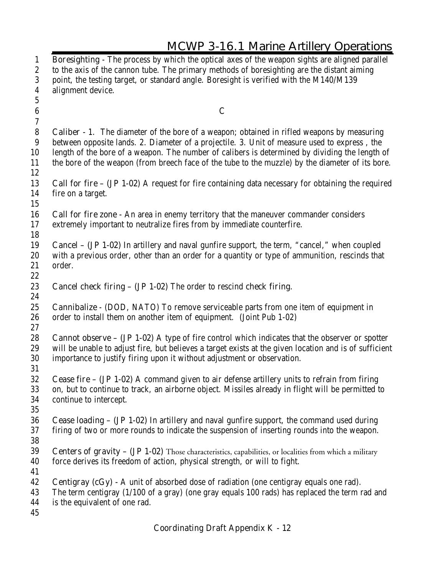| <b>MCWP 3-16.1 Marine Artillery Operations</b>                                                                                                                                                                                                                                                                                                                                                          |
|---------------------------------------------------------------------------------------------------------------------------------------------------------------------------------------------------------------------------------------------------------------------------------------------------------------------------------------------------------------------------------------------------------|
| Boresighting - The process by which the optical axes of the weapon sights are aligned parallel<br>to the axis of the cannon tube. The primary methods of boresighting are the distant aiming<br>point, the testing target, or standard angle. Boresight is verified with the M140/M139<br>alignment device.                                                                                             |
|                                                                                                                                                                                                                                                                                                                                                                                                         |
| $\mathbf C$                                                                                                                                                                                                                                                                                                                                                                                             |
| <b>Caliber</b> - 1. The diameter of the bore of a weapon; obtained in rifled weapons by measuring<br>between opposite lands. 2. Diameter of a projectile. 3. Unit of measure used to express, the<br>length of the bore of a weapon. The number of calibers is determined by dividing the length of<br>the bore of the weapon (from breech face of the tube to the muzzle) by the diameter of its bore. |
| <b>Call for fire - (JP 1-02)</b> A request for fire containing data necessary for obtaining the required<br>fire on a target.                                                                                                                                                                                                                                                                           |
| <b>Call for fire zone</b> - An area in enemy territory that the maneuver commander considers<br>extremely important to neutralize fires from by immediate counterfire.                                                                                                                                                                                                                                  |
| <b>Cancel - (JP 1-02)</b> In artillery and naval gunfire support, the term, "cancel," when coupled<br>with a previous order, other than an order for a quantity or type of ammunition, rescinds that<br>order.                                                                                                                                                                                          |
| Cancel check firing - (JP 1-02) The order to rescind check firing.                                                                                                                                                                                                                                                                                                                                      |
| <b>Cannibalize</b> - (DOD, NATO) To remove serviceable parts from one item of equipment in<br>order to install them on another item of equipment. (Joint Pub 1-02)                                                                                                                                                                                                                                      |
| <b>Cannot observe - (JP 1-02)</b> A type of fire control which indicates that the observer or spotter<br>will be unable to adjust fire, but believes a target exists at the given location and is of sufficient<br>importance to justify firing upon it without adjustment or observation.                                                                                                              |
| <b>Cease fire – (JP 1-02)</b> A command given to air defense artillery units to refrain from firing<br>on, but to continue to track, an airborne object. Missiles already in flight will be permitted to<br>continue to intercept.                                                                                                                                                                      |
| Cease loading - (JP 1-02) In artillery and naval gunfire support, the command used during<br>firing of two or more rounds to indicate the suspension of inserting rounds into the weapon.                                                                                                                                                                                                               |
| Centers of gravity - (JP 1-02) Those characteristics, capabilities, or localities from which a military<br>force derives its freedom of action, physical strength, or will to fight.                                                                                                                                                                                                                    |
| <b>Centigray (cGy)</b> - A unit of absorbed dose of radiation (one centigray equals one rad).<br>The term centigray (1/100 of a gray) (one gray equals 100 rads) has replaced the term rad and<br>is the equivalent of one rad.                                                                                                                                                                         |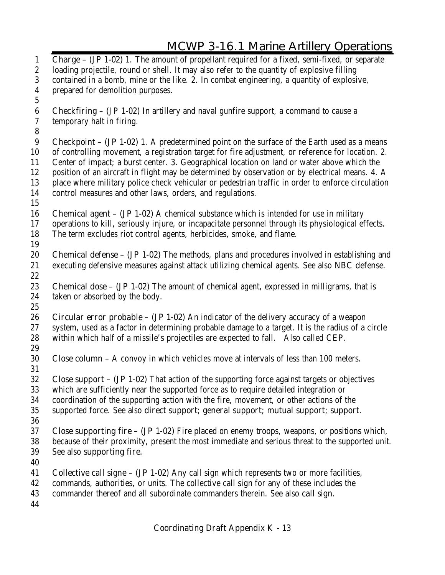|                                      | <b>MCWP 3-16.1 Marine Artillery Operations</b>                                                                                                                                                    |
|--------------------------------------|---------------------------------------------------------------------------------------------------------------------------------------------------------------------------------------------------|
| $\mathbf{1}$<br>$\boldsymbol{2}$     | <b>Charge - (JP 1-02)</b> 1. The amount of propellant required for a fixed, semi-fixed, or separate<br>loading projectile, round or shell. It may also refer to the quantity of explosive filling |
| $\boldsymbol{3}$<br>$\boldsymbol{4}$ | contained in a bomb, mine or the like. 2. In combat engineering, a quantity of explosive,<br>prepared for demolition purposes.                                                                    |
| $\mathbf 5$                          |                                                                                                                                                                                                   |
| $6\phantom{.}6$<br>$\overline{7}$    | <b>Checkfiring – (JP 1-02)</b> In artillery and naval gunfire support, a command to cause a<br>temporary halt in firing.                                                                          |
| 8                                    |                                                                                                                                                                                                   |
| $9\phantom{.0}$                      | <b>Checkpoint – (JP 1-02)</b> 1. A predetermined point on the surface of the Earth used as a means                                                                                                |
| 10<br>11                             | of controlling movement, a registration target for fire adjustment, or reference for location. 2.<br>Center of impact; a burst center. 3. Geographical location on land or water above which the  |
| 12                                   | position of an aircraft in flight may be determined by observation or by electrical means. 4. A                                                                                                   |
| 13                                   | place where military police check vehicular or pedestrian traffic in order to enforce circulation                                                                                                 |
| 14<br>15                             | control measures and other laws, orders, and regulations.                                                                                                                                         |
| 16                                   | <b>Chemical agent – (JP 1-02)</b> A chemical substance which is intended for use in military                                                                                                      |
| 17                                   | operations to kill, seriously injure, or incapacitate personnel through its physiological effects.                                                                                                |
| 18                                   | The term excludes riot control agents, herbicides, smoke, and flame.                                                                                                                              |
| 19                                   |                                                                                                                                                                                                   |
| 20<br>21                             | Chemical defense - (JP 1-02) The methods, plans and procedures involved in establishing and<br>executing defensive measures against attack utilizing chemical agents. See also NBC defense.       |
| 22                                   |                                                                                                                                                                                                   |
| 23                                   | <b>Chemical dose - (JP 1-02)</b> The amount of chemical agent, expressed in milligrams, that is                                                                                                   |
| 24                                   | taken or absorbed by the body.                                                                                                                                                                    |
| 25                                   |                                                                                                                                                                                                   |
| 26                                   | <b>Circular error probable – (JP 1-02)</b> An indicator of the delivery accuracy of a weapon                                                                                                      |
| 27                                   | system, used as a factor in determining probable damage to a target. It is the radius of a circle                                                                                                 |
| 28<br>29                             | within which half of a missile's projectiles are expected to fall. Also called CEP.                                                                                                               |
| 30                                   | <b>Close column -</b> A convoy in which vehicles move at intervals of less than 100 meters.                                                                                                       |
| 31                                   |                                                                                                                                                                                                   |
| 32                                   | <b>Close support – (JP 1-02)</b> That action of the supporting force against targets or objectives                                                                                                |
| 33                                   | which are sufficiently near the supported force as to require detailed integration or                                                                                                             |
| 34                                   | coordination of the supporting action with the fire, movement, or other actions of the                                                                                                            |

- supported force. See also **direct support; general support; mutual support; support.**
- **Close supporting fire (JP 1-02)** Fire placed on enemy troops, weapons, or positions which, because of their proximity, present the most immediate and serious threat to the supported unit. See also **supporting fire.**
- 

- **Collective call signe (JP 1-02)** Any call sign which represents two or more facilities,
- commands, authorities, or units. The collective call sign for any of these includes the
- commander thereof and all subordinate commanders therein. See also **call sign.**
-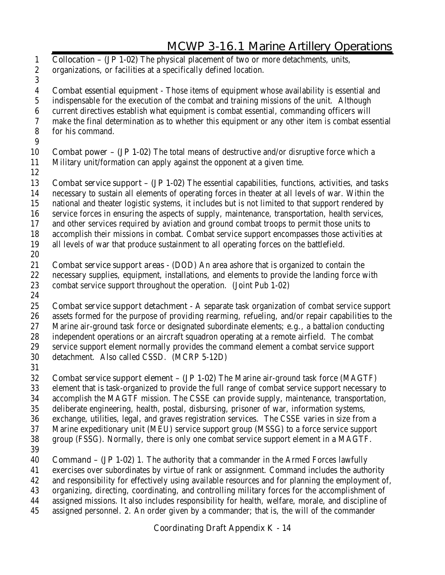**Collocation – (JP 1-02)** The physical placement of two or more detachments, units, organizations, or facilities at a specifically defined location. **Combat essential equipment** - Those items of equipment whose availability is essential and indispensable for the execution of the combat and training missions of the unit. Although current directives establish what equipment is combat essential, commanding officers will make the final determination as to whether this equipment or any other item is combat essential for his command. **Combat power – (JP 1-02)** The total means of destructive and/or disruptive force which a Military unit/formation can apply against the opponent at a given time. **Combat service support – (JP 1-02)** The essential capabilities, functions, activities, and tasks necessary to sustain all elements of operating forces in theater at all levels of war. Within the national and theater logistic systems, it includes but is not limited to that support rendered by service forces in ensuring the aspects of supply, maintenance, transportation, health services, and other services required by aviation and ground combat troops to permit those units to accomplish their missions in combat. Combat service support encompasses those activities at all levels of war that produce sustainment to all operating forces on the battlefield. **Combat service support areas -** (DOD) An area ashore that is organized to contain the necessary supplies, equipment, installations, and elements to provide the landing force with combat service support throughout the operation. (Joint Pub 1-02) **Combat service support detachment -** A separate task organization of combat service support assets formed for the purpose of providing rearming, refueling, and/or repair capabilities to the Marine air-ground task force or designated subordinate elements; e.g., a battalion conducting independent operations or an aircraft squadron operating at a remote airfield. The combat service support element normally provides the command element a combat service support detachment. Also called CSSD. (MCRP 5-12D) **Combat service support element – (JP 1-02)** The Marine air-ground task force (MAGTF) element that is task-organized to provide the full range of combat service support necessary to accomplish the MAGTF mission. The CSSE can provide supply, maintenance, transportation, deliberate engineering, health, postal, disbursing, prisoner of war, information systems, exchange, utilities, legal, and graves registration services. The CSSE varies in size from a Marine expeditionary unit (MEU) service support group (MSSG) to a force service support group (FSSG). Normally, there is only one combat service support element in a MAGTF. **Command – (JP 1-02)** 1. The authority that a commander in the Armed Forces lawfully exercises over subordinates by virtue of rank or assignment. Command includes the authority and responsibility for effectively using available resources and for planning the employment of,

- organizing, directing, coordinating, and controlling military forces for the accomplishment of
- assigned missions. It also includes responsibility for health, welfare, morale, and discipline of
- assigned personnel. 2. An order given by a commander; that is, the will of the commander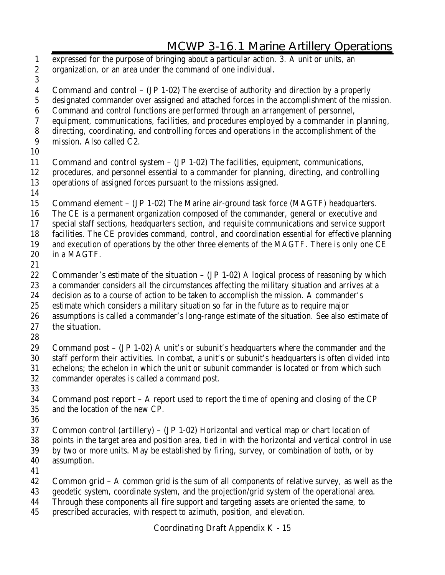expressed for the purpose of bringing about a particular action. 3. A unit or units, an organization, or an area under the command of one individual. **Command and control – (JP 1-02)** The exercise of authority and direction by a properly designated commander over assigned and attached forces in the accomplishment of the mission. Command and control functions are performed through an arrangement of personnel, equipment, communications, facilities, and procedures employed by a commander in planning, directing, coordinating, and controlling forces and operations in the accomplishment of the mission. Also called **C2. Command and control system – (JP 1-02)** The facilities, equipment, communications, procedures, and personnel essential to a commander for planning, directing, and controlling operations of assigned forces pursuant to the missions assigned. **Command element – (JP 1-02)** The Marine air-ground task force (MAGTF) headquarters. The CE is a permanent organization composed of the commander, general or executive and special staff sections, headquarters section, and requisite communications and service support facilities. The CE provides command, control, and coordination essential for effective planning and execution of operations by the other three elements of the MAGTF. There is only one CE in a MAGTF. **Commander's estimate of the situation – (JP 1-02)** A logical process of reasoning by which a commander considers all the circumstances affecting the military situation and arrives at a decision as to a course of action to be taken to accomplish the mission. A commander's estimate which considers a military situation so far in the future as to require major assumptions is called a commander's long-range estimate of the situation. See also **estimate of the situation. Command post – (JP 1-02)** A unit's or subunit's headquarters where the commander and the staff perform their activities. In combat, a unit's or subunit's headquarters is often divided into echelons; the echelon in which the unit or subunit commander is located or from which such commander operates is called a command post. **Command post report –** A report used to report the time of opening and closing of the CP and the location of the new CP. **Common control (artillery) – (JP 1-02)** Horizontal and vertical map or chart location of points in the target area and position area, tied in with the horizontal and vertical control in use by two or more units. May be established by firing, survey, or combination of both, or by assumption. **Common grid –** A common grid is the sum of all components of relative survey, as well as the geodetic system, coordinate system, and the projection/grid system of the operational area. Through these components all fire support and targeting assets are oriented the same, to

prescribed accuracies, with respect to azimuth, position, and elevation.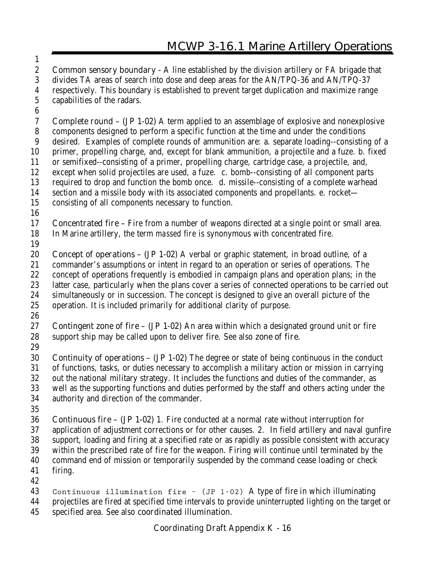**Common sensory boundary -** A line established by the division artillery or FA brigade that divides TA areas of search into dose and deep areas for the AN/TPQ-36 and AN/TPQ-37 respectively. This boundary is established to prevent target duplication and maximize range capabilities of the radars.

 **Complete round – (JP 1-02)** A term applied to an assemblage of explosive and nonexplosive components designed to perform a specific function at the time and under the conditions desired. Examples of complete rounds of ammunition are: a. separate loading--consisting of a primer, propelling charge, and, except for blank ammunition, a projectile and a fuze. b. fixed or semifixed--consisting of a primer, propelling charge, cartridge case, a projectile, and, except when solid projectiles are used, a fuze. c. bomb--consisting of all component parts required to drop and function the bomb once. d. missile--consisting of a complete warhead section and a missile body with its associated components and propellants. e. rocket—

- consisting of all components necessary to function.
- 

- **Concentrated fire** Fire from a number of weapons directed at a single point or small area. In Marine artillery, the term *massed fire* is synonymous with concentrated fire.
- 

 **Concept of operations – (JP 1-02)** A verbal or graphic statement, in broad outline, of a commander's assumptions or intent in regard to an operation or series of operations. The concept of operations frequently is embodied in campaign plans and operation plans; in the latter case, particularly when the plans cover a series of connected operations to be carried out simultaneously or in succession. The concept is designed to give an overall picture of the operation. It is included primarily for additional clarity of purpose.

- 
- **Contingent zone of fire (JP 1-02)** An area within which a designated ground unit or fire support ship may be called upon to deliver fire. See also **zone of fire.**
- 

 **Continuity of operations – (JP 1-02)** The degree or state of being continuous in the conduct of functions, tasks, or duties necessary to accomplish a military action or mission in carrying out the national military strategy. It includes the functions and duties of the commander, as well as the supporting functions and duties performed by the staff and others acting under the authority and direction of the commander.

 **Continuous fire – (JP 1-02)** 1. Fire conducted at a normal rate without interruption for application of adjustment corrections or for other causes. 2. In field artillery and naval gunfire support, loading and firing at a specified rate or as rapidly as possible consistent with accuracy within the prescribed rate of fire for the weapon. Firing will continue until terminated by the command end of mission or temporarily suspended by the command cease loading or check firing.

 **Continuous illumination fire – (JP 1-02)** A type of fire in which illuminating projectiles are fired at specified time intervals to provide uninterrupted lighting on the target or

specified area. See also **coordinated illumination.**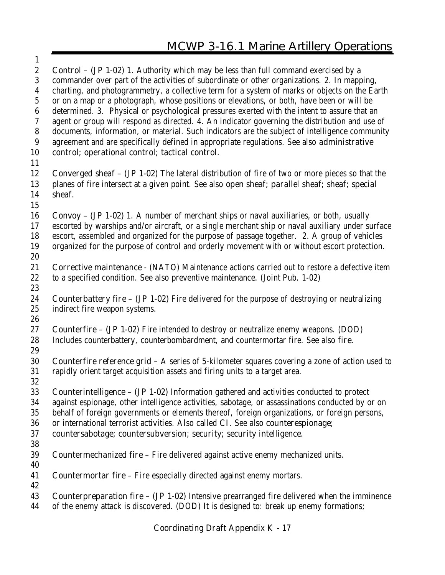| $\mathbf{1}$     |                                                                                                                 |
|------------------|-----------------------------------------------------------------------------------------------------------------|
| $\boldsymbol{2}$ | <b>Control - (JP 1-02)</b> 1. Authority which may be less than full command exercised by a                      |
| 3                | commander over part of the activities of subordinate or other organizations. 2. In mapping,                     |
| $\boldsymbol{4}$ | charting, and photogrammetry, a collective term for a system of marks or objects on the Earth                   |
| $\bf 5$          | or on a map or a photograph, whose positions or elevations, or both, have been or will be                       |
| $\boldsymbol{6}$ | determined. 3. Physical or psychological pressures exerted with the intent to assure that an                    |
| $\boldsymbol{7}$ | agent or group will respond as directed. 4. An indicator governing the distribution and use of                  |
| ${\bf 8}$        | documents, information, or material. Such indicators are the subject of intelligence community                  |
| 9                | agreement and are specifically defined in appropriate regulations. See also administrative                      |
| 10               | control; operational control; tactical control.                                                                 |
| 11               |                                                                                                                 |
| 12               | <b>Converged sheaf - (JP 1-02)</b> The lateral distribution of fire of two or more pieces so that the           |
| 13               | planes of fire intersect at a given point. See also open sheaf; parallel sheaf; sheaf; special                  |
| 14               | sheaf.                                                                                                          |
| 15               |                                                                                                                 |
| 16               | <b>Convoy – (JP 1-02)</b> 1. A number of merchant ships or naval auxiliaries, or both, usually                  |
| 17               | escorted by warships and/or aircraft, or a single merchant ship or naval auxiliary under surface                |
| 18               | escort, assembled and organized for the purpose of passage together. 2. A group of vehicles                     |
| 19               | organized for the purpose of control and orderly movement with or without escort protection.                    |
| 20               |                                                                                                                 |
| 21               | <b>Corrective maintenance</b> - (NATO) Maintenance actions carried out to restore a defective item              |
| 22               | to a specified condition. See also preventive maintenance. (Joint Pub. 1-02)                                    |
| 23               |                                                                                                                 |
| 24               | <b>Counterbattery fire - (JP 1-02)</b> Fire delivered for the purpose of destroying or neutralizing             |
| 25               | indirect fire weapon systems.                                                                                   |
| 26               |                                                                                                                 |
| 27               | <b>Counterfire - (JP 1-02)</b> Fire intended to destroy or neutralize enemy weapons. (DOD)                      |
| 28               | Includes counterbattery, counterbombardment, and countermortar fire. See also fire.                             |
| 29               |                                                                                                                 |
| 30               | <b>Counterfire reference grid - A series of 5-kilometer squares covering a zone of action used to</b>           |
| 31               | rapidly orient target acquisition assets and firing units to a target area.                                     |
| 32               |                                                                                                                 |
| 33               | <b>Counterintelligence - (JP 1-02)</b> Information gathered and activities conducted to protect                 |
| 34               | against espionage, other intelligence activities, sabotage, or assassinations conducted by or on                |
| 35               | behalf of foreign governments or elements thereof, foreign organizations, or foreign persons,                   |
| 36               | or international terrorist activities. Also called CI. See also counterespionage;                               |
| 37               | countersabotage; countersubversion; security; security intelligence.                                            |
| 38               |                                                                                                                 |
| 39               | <b>Countermechanized fire - Fire delivered against active enemy mechanized units.</b>                           |
| 40               |                                                                                                                 |
| 41               | <b>Countermortar fire</b> – Fire especially directed against enemy mortars.                                     |
| 42               |                                                                                                                 |
| 43               | <b>Counterpreparation fire <math>-</math> (JP 1-02)</b> Intensive prearranged fire delivered when the imminence |
| 44               | of the enemy attack is discovered. (DOD) It is designed to: break up enemy formations;                          |
|                  |                                                                                                                 |

Æ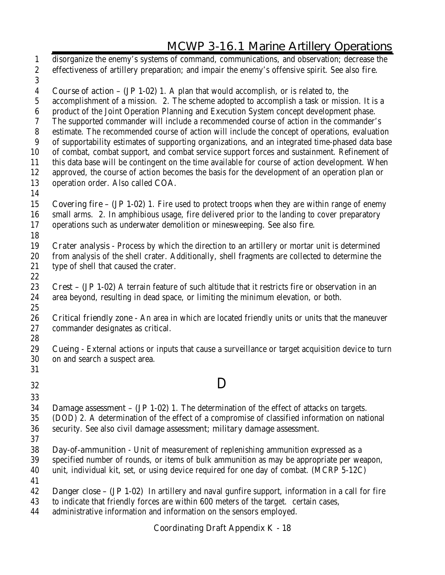disorganize the enemy's systems of command, communications, and observation; decrease the effectiveness of artillery preparation; and impair the enemy's offensive spirit. See also **fire. Course of action – (JP 1-02)** 1. A plan that would accomplish, or is related to, the accomplishment of a mission. 2. The scheme adopted to accomplish a task or mission. It is a product of the Joint Operation Planning and Execution System concept development phase. The supported commander will include a recommended course of action in the commander's estimate. The recommended course of action will include the concept of operations, evaluation of supportability estimates of supporting organizations, and an integrated time-phased data base of combat, combat support, and combat service support forces and sustainment. Refinement of this data base will be contingent on the time available for course of action development. When approved, the course of action becomes the basis for the development of an operation plan or operation order. Also called **COA. Covering fire – (JP 1-02)** 1. Fire used to protect troops when they are within range of enemy small arms. 2. In amphibious usage, fire delivered prior to the landing to cover preparatory operations such as underwater demolition or minesweeping. See also **fire. Crater analysis -** Process by which the direction to an artillery or mortar unit is determined from analysis of the shell crater. Additionally, shell fragments are collected to determine the type of shell that caused the crater. **Crest – (JP 1-02)** A terrain feature of such altitude that it restricts fire or observation in an area beyond, resulting in dead space, or limiting the minimum elevation, or both. **Critical friendly zone -** An area in which are located friendly units or units that the maneuver commander designates as critical. **Cueing -** External actions or inputs that cause a surveillance or target acquisition device to turn on and search a suspect area. **D Damage assessment – (JP 1-02)** 1. The determination of the effect of attacks on targets. (DOD) 2. A determination of the effect of a compromise of classified information on national security. See also **civil damage assessment; military damage assessment. Day-of-ammunition** - Unit of measurement of replenishing ammunition expressed as a specified number of rounds, or items of bulk ammunition as may be appropriate per weapon, unit, individual kit, set, or using device required for one day of combat. (MCRP 5-12C) **Danger close – (JP 1-02)** In artillery and naval gunfire support, information in a call for fire to indicate that friendly forces are within 600 meters of the target. certain cases, administrative information and information on the sensors employed.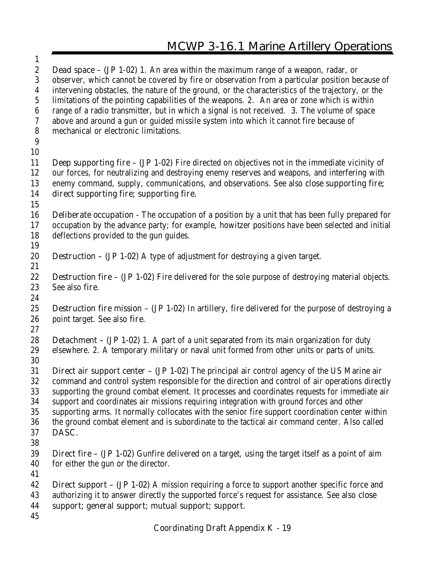| $\mathbf{1}$     |                                                                                                                       |
|------------------|-----------------------------------------------------------------------------------------------------------------------|
| $\boldsymbol{2}$ | <b>Dead space – (JP 1-02)</b> 1. An area within the maximum range of a weapon, radar, or                              |
| 3                | observer, which cannot be covered by fire or observation from a particular position because of                        |
| $\boldsymbol{4}$ | intervening obstacles, the nature of the ground, or the characteristics of the trajectory, or the                     |
| $\mathbf{5}$     | limitations of the pointing capabilities of the weapons. 2. An area or zone which is within                           |
| $\boldsymbol{6}$ | range of a radio transmitter, but in which a signal is not received. 3. The volume of space                           |
| 7                | above and around a gun or guided missile system into which it cannot fire because of                                  |
| ${\bf 8}$        | mechanical or electronic limitations.                                                                                 |
| 9                |                                                                                                                       |
| 10               |                                                                                                                       |
| 11               | <b>Deep supporting fire <math>-</math> (JP 1-02)</b> Fire directed on objectives not in the immediate vicinity of     |
| 12               | our forces, for neutralizing and destroying enemy reserves and weapons, and interfering with                          |
| 13               | enemy command, supply, communications, and observations. See also close supporting fire;                              |
| 14               | direct supporting fire; supporting fire.                                                                              |
| 15               |                                                                                                                       |
| 16               | <b>Deliberate occupation</b> - The occupation of a position by a unit that has been fully prepared for                |
| 17               | occupation by the advance party; for example, howitzer positions have been selected and initial                       |
| 18               | deflections provided to the gun guides.                                                                               |
| 19               |                                                                                                                       |
| 20               | <b>Destruction – (JP 1-02)</b> A type of adjustment for destroying a given target.                                    |
| 21               |                                                                                                                       |
| 22               | <b>Destruction fire - (JP 1-02)</b> Fire delivered for the sole purpose of destroying material objects.               |
| 23               | See also fire.                                                                                                        |
| 24               |                                                                                                                       |
| 25               | <b>Destruction fire mission <math>-</math> (JP 1-02)</b> In artillery, fire delivered for the purpose of destroying a |
| 26               | point target. See also fire.                                                                                          |
| 27               |                                                                                                                       |
| 28               | <b>Detachment - (JP 1-02)</b> 1. A part of a unit separated from its main organization for duty                       |
| 29               | elsewhere. 2. A temporary military or naval unit formed from other units or parts of units.                           |
| 30               |                                                                                                                       |
| 31               | <b>Direct air support center - (JP 1-02)</b> The principal air control agency of the US Marine air                    |
| $32\,$           | command and control system responsible for the direction and control of air operations directly                       |
| 33               | supporting the ground combat element. It processes and coordinates requests for immediate air                         |
| 34               | support and coordinates air missions requiring integration with ground forces and other                               |
| 35               | supporting arms. It normally collocates with the senior fire support coordination center within                       |
| 36               | the ground combat element and is subordinate to the tactical air command center. Also called                          |
| 37               | DASC.                                                                                                                 |
| 38               |                                                                                                                       |
| 39               | <b>Direct fire – (JP 1-02)</b> Gunfire delivered on a target, using the target itself as a point of aim               |
| 40               | for either the gun or the director.                                                                                   |
| 41               |                                                                                                                       |
| 42               | <b>Direct support – (JP 1-02)</b> A mission requiring a force to support another specific force and                   |
| 43               | authorizing it to answer directly the supported force's request for assistance. See also close                        |
| 44               | support; general support; mutual support; support.                                                                    |
| 45               |                                                                                                                       |
|                  | <b>Coordinating Draft Appendix K - 19</b>                                                                             |
|                  |                                                                                                                       |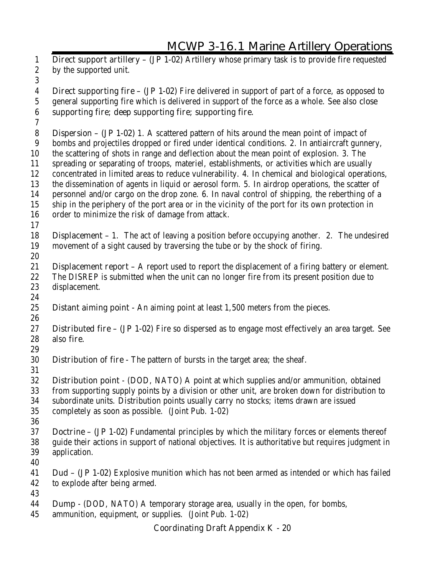**Direct support artillery – (JP 1-02)** Artillery whose primary task is to provide fire requested by the supported unit. **Direct supporting fire – (JP 1-02)** Fire delivered in support of part of a force, as opposed to general supporting fire which is delivered in support of the force as a whole. See also **close supporting fire; deep supporting fire; supporting fire. Dispersion – (JP 1-02)** 1. A scattered pattern of hits around the mean point of impact of bombs and projectiles dropped or fired under identical conditions. 2. In antiaircraft gunnery, the scattering of shots in range and deflection about the mean point of explosion. 3. The spreading or separating of troops, materiel, establishments, or activities which are usually concentrated in limited areas to reduce vulnerability. 4. In chemical and biological operations, the dissemination of agents in liquid or aerosol form. 5. In airdrop operations, the scatter of personnel and/or cargo on the drop zone. 6. In naval control of shipping, the reberthing of a ship in the periphery of the port area or in the vicinity of the port for its own protection in order to minimize the risk of damage from attack. **Displacement –** 1. The act of leaving a position before occupying another. 2. The undesired movement of a sight caused by traversing the tube or by the shock of firing. **Displacement report –** A report used to report the displacement of a firing battery or element. The DISREP is submitted when the unit can no longer fire from its present position due to displacement. **Distant aiming point -** An aiming point at least 1,500 meters from the pieces. **Distributed fire – (JP 1-02)** Fire so dispersed as to engage most effectively an area target. See also **fire. Distribution of fire -** The pattern of bursts in the target area; the sheaf. **Distribution point** - (DOD, NATO) A point at which supplies and/or ammunition, obtained from supporting supply points by a division or other unit, are broken down for distribution to subordinate units. Distribution points usually carry no stocks; items drawn are issued completely as soon as possible. (Joint Pub. 1-02) **Doctrine – (JP 1-02)** Fundamental principles by which the military forces or elements thereof guide their actions in support of national objectives. It is authoritative but requires judgment in application. **Dud – (JP 1-02)** Explosive munition which has not been armed as intended or which has failed to explode after being armed. **Dump** - (DOD, NATO) A temporary storage area, usually in the open, for bombs, ammunition, equipment, or supplies. (Joint Pub. 1-02)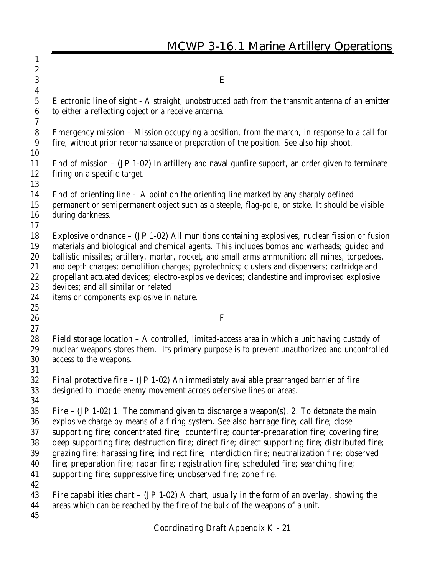|                                        | <b>MCWP 3-16.1 Marine Artillery Operations</b>                                                                                                                                                                                                                                                                                                                                                                                                                                                                                                                                          |
|----------------------------------------|-----------------------------------------------------------------------------------------------------------------------------------------------------------------------------------------------------------------------------------------------------------------------------------------------------------------------------------------------------------------------------------------------------------------------------------------------------------------------------------------------------------------------------------------------------------------------------------------|
| 1                                      |                                                                                                                                                                                                                                                                                                                                                                                                                                                                                                                                                                                         |
| $\boldsymbol{2}$                       |                                                                                                                                                                                                                                                                                                                                                                                                                                                                                                                                                                                         |
| $\boldsymbol{3}$                       | E                                                                                                                                                                                                                                                                                                                                                                                                                                                                                                                                                                                       |
| 4                                      |                                                                                                                                                                                                                                                                                                                                                                                                                                                                                                                                                                                         |
| 5<br>6                                 | <b>Electronic line of sight</b> - A straight, unobstructed path from the transmit antenna of an emitter<br>to either a reflecting object or a receive antenna.                                                                                                                                                                                                                                                                                                                                                                                                                          |
| 7<br>8<br>9                            | <b>Emergency mission</b> – Mission occupying a position, from the march, in response to a call for<br>fire, without prior reconnaissance or preparation of the position. See also hip shoot.                                                                                                                                                                                                                                                                                                                                                                                            |
| 10<br>11<br>12<br>13                   | <b>End of mission - (JP 1-02)</b> In artillery and naval gunfire support, an order given to terminate<br>firing on a specific target.                                                                                                                                                                                                                                                                                                                                                                                                                                                   |
| 14<br>15<br>16<br>17                   | <b>End of orienting line</b> - A point on the orienting line marked by any sharply defined<br>permanent or semipermanent object such as a steeple, flag-pole, or stake. It should be visible<br>during darkness.                                                                                                                                                                                                                                                                                                                                                                        |
| 18<br>19<br>20<br>21<br>22<br>23<br>24 | <b>Explosive ordnance - (JP 1-02)</b> All munitions containing explosives, nuclear fission or fusion<br>materials and biological and chemical agents. This includes bombs and warheads; guided and<br>ballistic missiles; artillery, mortar, rocket, and small arms ammunition; all mines, torpedoes,<br>and depth charges; demolition charges; pyrotechnics; clusters and dispensers; cartridge and<br>propellant actuated devices; electro-explosive devices; clandestine and improvised explosive<br>devices; and all similar or related<br>items or components explosive in nature. |
| 25                                     |                                                                                                                                                                                                                                                                                                                                                                                                                                                                                                                                                                                         |
| 26                                     | F                                                                                                                                                                                                                                                                                                                                                                                                                                                                                                                                                                                       |
| 27                                     |                                                                                                                                                                                                                                                                                                                                                                                                                                                                                                                                                                                         |
| 28<br>29<br>30<br>31                   | Field storage location - A controlled, limited-access area in which a unit having custody of<br>nuclear weapons stores them. Its primary purpose is to prevent unauthorized and uncontrolled<br>access to the weapons.                                                                                                                                                                                                                                                                                                                                                                  |
| 32<br>33<br>34                         | <b>Final protective fire <math>-</math> (JP 1-02)</b> An immediately available prearranged barrier of fire<br>designed to impede enemy movement across defensive lines or areas.                                                                                                                                                                                                                                                                                                                                                                                                        |
| 35<br>36                               | <b>Fire – (JP 1-02)</b> 1. The command given to discharge a weapon(s). 2. To detonate the main<br>explosive charge by means of a firing system. See also barrage fire; call fire; close                                                                                                                                                                                                                                                                                                                                                                                                 |
| 37<br>38<br>39<br>40<br>41             | supporting fire; concentrated fire; counterfire; counter-preparation fire; covering fire;<br>deep supporting fire; destruction fire; direct fire; direct supporting fire; distributed fire;<br>grazing fire; harassing fire; indirect fire; interdiction fire; neutralization fire; observed<br>fire; preparation fire; radar fire; registration fire; scheduled fire; searching fire;<br>supporting fire; suppressive fire; unobserved fire; zone fire.                                                                                                                                |
| 42<br>43<br>44<br>45                   | <b>Fire capabilities chart – (JP 1-02)</b> A chart, usually in the form of an overlay, showing the<br>areas which can be reached by the fire of the bulk of the weapons of a unit.                                                                                                                                                                                                                                                                                                                                                                                                      |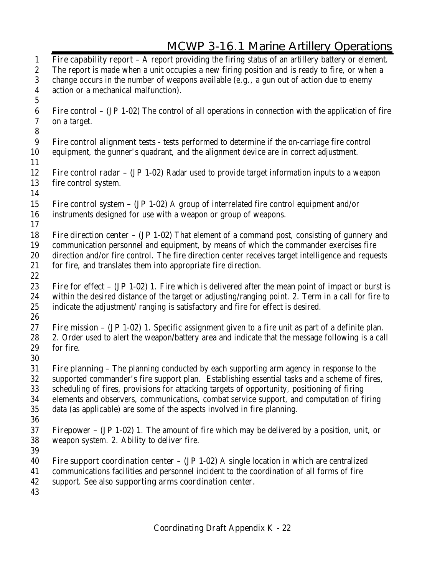| $\mathbf{1}$     | Fire capability report $-$ A report providing the firing status of an artillery battery or element.                                                                                         |
|------------------|---------------------------------------------------------------------------------------------------------------------------------------------------------------------------------------------|
| $\boldsymbol{2}$ | The report is made when a unit occupies a new firing position and is ready to fire, or when a                                                                                               |
| $\boldsymbol{3}$ | change occurs in the number of weapons available (e.g., a gun out of action due to enemy                                                                                                    |
| $\boldsymbol{4}$ | action or a mechanical malfunction).                                                                                                                                                        |
| $5\,$            |                                                                                                                                                                                             |
| 6                | <b>Fire control – (JP 1-02)</b> The control of all operations in connection with the application of fire                                                                                    |
| 7                | on a target.                                                                                                                                                                                |
| $\boldsymbol{8}$ |                                                                                                                                                                                             |
| 9                | Fire control alignment tests - tests performed to determine if the on-carriage fire control                                                                                                 |
| 10               | equipment, the gunner's quadrant, and the alignment device are in correct adjustment.                                                                                                       |
| 11               |                                                                                                                                                                                             |
| 12               | <b>Fire control radar – (JP 1-02)</b> Radar used to provide target information inputs to a weapon                                                                                           |
| 13               | fire control system.                                                                                                                                                                        |
| 14               |                                                                                                                                                                                             |
| 15               | <b>Fire control system – (JP 1-02)</b> A group of interrelated fire control equipment and/or                                                                                                |
| 16               | instruments designed for use with a weapon or group of weapons.                                                                                                                             |
| 17               |                                                                                                                                                                                             |
| 18               | Fire direction center - (JP 1-02) That element of a command post, consisting of gunnery and                                                                                                 |
| 19               | communication personnel and equipment, by means of which the commander exercises fire<br>direction and/or fire control. The fire direction center receives target intelligence and requests |
| 20<br>21         | for fire, and translates them into appropriate fire direction.                                                                                                                              |
| 22               |                                                                                                                                                                                             |
| 23               | <b>Fire for effect – (JP 1-02)</b> 1. Fire which is delivered after the mean point of impact or burst is                                                                                    |
| 24               | within the desired distance of the target or adjusting/ranging point. 2. Term in a call for fire to                                                                                         |
| 25               | indicate the adjustment/ranging is satisfactory and fire for effect is desired.                                                                                                             |
| 26               |                                                                                                                                                                                             |
| 27               | Fire mission - (JP 1-02) 1. Specific assignment given to a fire unit as part of a definite plan.                                                                                            |
| 28               | 2. Order used to alert the weapon/battery area and indicate that the message following is a call                                                                                            |
| 29               | for fire.                                                                                                                                                                                   |
| 30               |                                                                                                                                                                                             |
| 31               | Fire planning - The planning conducted by each supporting arm agency in response to the                                                                                                     |
| 32               | supported commander's fire support plan. Establishing essential tasks and a scheme of fires,                                                                                                |
| 33               | scheduling of fires, provisions for attacking targets of opportunity, positioning of firing                                                                                                 |
| 34               | elements and observers, communications, combat service support, and computation of firing                                                                                                   |
| 35               | data (as applicable) are some of the aspects involved in fire planning.                                                                                                                     |
| 36               |                                                                                                                                                                                             |
| 37               | <b>Firepower – (JP 1-02)</b> 1. The amount of fire which may be delivered by a position, unit, or                                                                                           |
| 38               | weapon system. 2. Ability to deliver fire.                                                                                                                                                  |
| 39               |                                                                                                                                                                                             |
| 40               | Fire support coordination center $-$ (JP 1-02) A single location in which are centralized                                                                                                   |
| 41<br>42         | communications facilities and personnel incident to the coordination of all forms of fire                                                                                                   |
| 43               | support. See also supporting arms coordination center.                                                                                                                                      |
|                  |                                                                                                                                                                                             |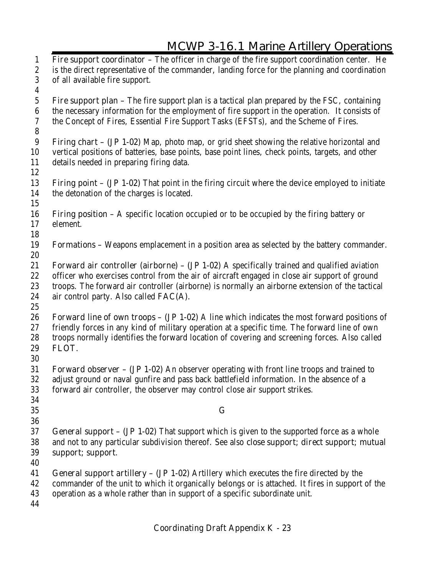**Fire support coordinator –** The officer in charge of the fire support coordination center. He is the direct representative of the commander, landing force for the planning and coordination of all available fire support. **Fire support plan –** The fire support plan is a tactical plan prepared by the FSC, containing the necessary information for the employment of fire support in the operation. It consists of the Concept of Fires, Essential Fire Support Tasks (EFSTs), and the Scheme of Fires. **Firing chart – (JP 1-02)** Map, photo map, or grid sheet showing the relative horizontal and vertical positions of batteries, base points, base point lines, check points, targets, and other details needed in preparing firing data. **Firing point – (JP 1-02)** That point in the firing circuit where the device employed to initiate the detonation of the charges is located. **Firing position –** A specific location occupied or to be occupied by the firing battery or element. **Formations –** Weapons emplacement in a position area as selected by the battery commander. **Forward air controller (airborne) – (JP 1-02)** A specifically trained and qualified aviation officer who exercises control from the air of aircraft engaged in close air support of ground troops. The forward air controller (airborne) is normally an airborne extension of the tactical air control party. Also called **FAC(A). Forward line of own troops – (JP 1-02)** A line which indicates the most forward positions of friendly forces in any kind of military operation at a specific time. The forward line of own troops normally identifies the forward location of covering and screening forces. Also called **FLOT. Forward observer – (JP 1-02)** An observer operating with front line troops and trained to adjust ground or naval gunfire and pass back battlefield information. In the absence of a forward air controller, the observer may control close air support strikes. **G General support – (JP 1-02)** That support which is given to the supported force as a whole and not to any particular subdivision thereof. See also **close support; direct support; mutual support; support**. **General support artillery – (JP 1-02)** Artillery which executes the fire directed by the commander of the unit to which it organically belongs or is attached. It fires in support of the operation as a whole rather than in support of a specific subordinate unit.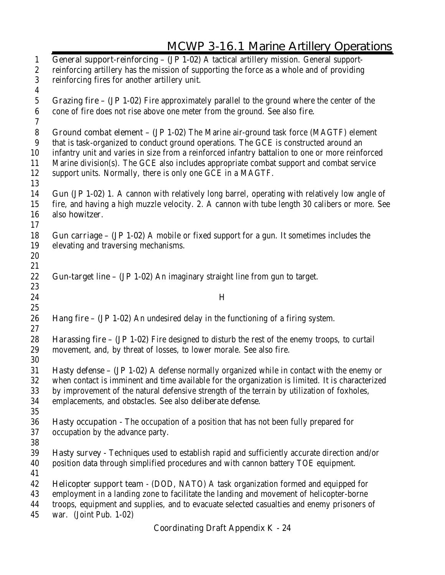**General support-reinforcing – (JP 1-02)** A tactical artillery mission. General support- reinforcing artillery has the mission of supporting the force as a whole and of providing reinforcing fires for another artillery unit. **Grazing fire – (JP 1-02)** Fire approximately parallel to the ground where the center of the cone of fire does not rise above one meter from the ground. See also **fire. Ground combat element – (JP 1-02)** The Marine air-ground task force (MAGTF) element that is task-organized to conduct ground operations. The GCE is constructed around an infantry unit and varies in size from a reinforced infantry battalion to one or more reinforced Marine division(s). The GCE also includes appropriate combat support and combat service support units. Normally, there is only one GCE in a MAGTF. **Gun (JP 1-02)** 1. A cannon with relatively long barrel, operating with relatively low angle of fire, and having a high muzzle velocity. 2. A cannon with tube length 30 calibers or more. See also **howitzer**. **Gun carriage – (JP 1-02)** A mobile or fixed support for a gun. It sometimes includes the elevating and traversing mechanisms. **Gun-target line – (JP 1-02)** An imaginary straight line from gun to target. **H Hang fire – (JP 1-02)** An undesired delay in the functioning of a firing system. **Harassing fire – (JP 1-02)** Fire designed to disturb the rest of the enemy troops, to curtail movement, and, by threat of losses, to lower morale. See also fire. **Hasty defense – (JP 1-02)** A defense normally organized while in contact with the enemy or when contact is imminent and time available for the organization is limited. It is characterized by improvement of the natural defensive strength of the terrain by utilization of foxholes, emplacements, and obstacles. See also **deliberate defense. Hasty occupation -** The occupation of a position that has not been fully prepared for occupation by the advance party. **Hasty survey -** Techniques used to establish rapid and sufficiently accurate direction and/or position data through simplified procedures and with cannon battery TOE equipment. **Helicopter support team** - (DOD, NATO) A task organization formed and equipped for employment in a landing zone to facilitate the landing and movement of helicopter-borne troops, equipment and supplies, and to evacuate selected casualties and enemy prisoners of war. (Joint Pub. 1-02)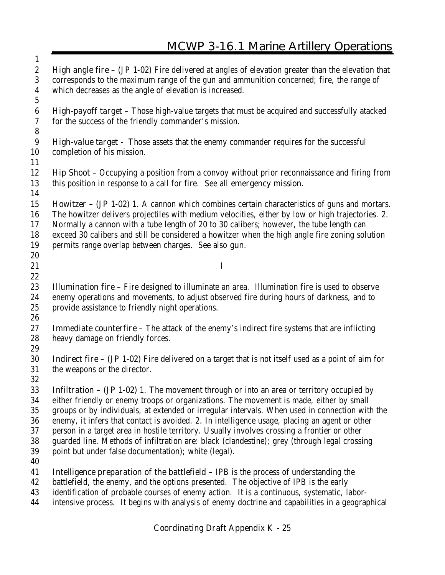**High angle fire – (JP 1-02)** Fire delivered at angles of elevation greater than the elevation that corresponds to the maximum range of the gun and ammunition concerned; fire, the range of which decreases as the angle of elevation is increased. **High-payoff target –** Those high-value targets that must be acquired and successfully atacked for the success of the friendly commander's mission. **High-value target -** Those assets that the enemy commander requires for the successful completion of his mission. **Hip Shoot –** Occupying a position from a convoy without prior reconnaissance and firing from this position in response to a call for fire. See all **emergency mission**. **Howitzer – (JP 1-02)** 1. A cannon which combines certain characteristics of guns and mortars. The howitzer delivers projectiles with medium velocities, either by low or high trajectories. 2. Normally a cannon with a tube length of 20 to 30 calibers; however, the tube length can exceed 30 calibers and still be considered a howitzer when the high angle fire zoning solution permits range overlap between charges. See also **gun**. **I Illumination fire –** Fire designed to illuminate an area. Illumination fire is used to observe enemy operations and movements, to adjust observed fire during hours of darkness, and to provide assistance to friendly night operations. **Immediate counterfire –** The attack of the enemy's indirect fire systems that are inflicting heavy damage on friendly forces. **Indirect fire – (JP 1-02)** Fire delivered on a target that is not itself used as a point of aim for the weapons or the director. **Infiltration – (JP 1-02)** 1. The movement through or into an area or territory occupied by either friendly or enemy troops or organizations. The movement is made, either by small groups or by individuals, at extended or irregular intervals. When used in connection with the enemy, it infers that contact is avoided. 2. In intelligence usage, placing an agent or other person in a target area in hostile territory. Usually involves crossing a frontier or other guarded line. Methods of infiltration are: black (clandestine); grey (through legal crossing point but under false documentation); white (legal). **Intelligence preparation of the battlefield –** IPB is the process of understanding the battlefield, the enemy, and the options presented. The objective of IPB is the early identification of probable courses of enemy action. It is a continuous, systematic, labor-intensive process. It begins with analysis of enemy doctrine and capabilities in a geographical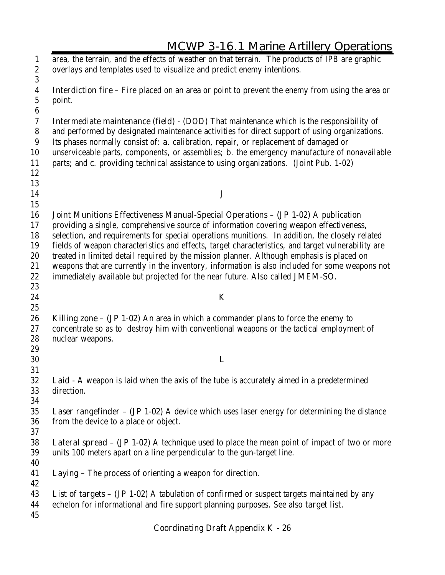|                                                          | <u>MCWF 3-10. FIVIANIE AFUICLY OPCIANOUS</u>                                                                                                                                             |
|----------------------------------------------------------|------------------------------------------------------------------------------------------------------------------------------------------------------------------------------------------|
| $\mathbf{1}$<br>$\boldsymbol{2}$                         | area, the terrain, and the effects of weather on that terrain. The products of IPB are graphic<br>overlays and templates used to visualize and predict enemy intentions.                 |
| $\boldsymbol{3}$<br>4<br>$\mathbf 5$<br>$\boldsymbol{6}$ | <b>Interdiction fire</b> – Fire placed on an area or point to prevent the enemy from using the area or<br>point.                                                                         |
| 7                                                        | <b>Intermediate maintenance (field)</b> - (DOD) That maintenance which is the responsibility of                                                                                          |
| 8                                                        | and performed by designated maintenance activities for direct support of using organizations.                                                                                            |
| 9                                                        | Its phases normally consist of: a. calibration, repair, or replacement of damaged or                                                                                                     |
| 10                                                       | unserviceable parts, components, or assemblies; <b>b</b> . the emergency manufacture of nonavailable                                                                                     |
| 11                                                       | parts; and c. providing technical assistance to using organizations. (Joint Pub. 1-02)                                                                                                   |
| 12                                                       |                                                                                                                                                                                          |
| 13                                                       |                                                                                                                                                                                          |
| 14                                                       | ${\bf J}$                                                                                                                                                                                |
| 15                                                       |                                                                                                                                                                                          |
| 16                                                       | Joint Munitions Effectiveness Manual-Special Operations - (JP 1-02) A publication                                                                                                        |
| 17                                                       | providing a single, comprehensive source of information covering weapon effectiveness,                                                                                                   |
| 18                                                       | selection, and requirements for special operations munitions. In addition, the closely related                                                                                           |
| 19                                                       | fields of weapon characteristics and effects, target characteristics, and target vulnerability are                                                                                       |
| 20                                                       | treated in limited detail required by the mission planner. Although emphasis is placed on                                                                                                |
| 21                                                       | weapons that are currently in the inventory, information is also included for some weapons not                                                                                           |
| 22                                                       | immediately available but projected for the near future. Also called JMEM-SO.                                                                                                            |
| 23                                                       |                                                                                                                                                                                          |
| 24                                                       | K                                                                                                                                                                                        |
| 25                                                       |                                                                                                                                                                                          |
| 26<br>27                                                 | <b>Killing zone – (JP 1-02)</b> An area in which a commander plans to force the enemy to<br>concentrate so as to destroy him with conventional weapons or the tactical employment of     |
| 28                                                       | nuclear weapons.                                                                                                                                                                         |
| 29                                                       |                                                                                                                                                                                          |
| 30                                                       | L                                                                                                                                                                                        |
| 31                                                       |                                                                                                                                                                                          |
| 32                                                       | Laid - A weapon is laid when the axis of the tube is accurately aimed in a predetermined                                                                                                 |
| 33                                                       | direction.                                                                                                                                                                               |
| 34                                                       |                                                                                                                                                                                          |
| 35                                                       | <b>Laser rangefinder - (JP 1-02)</b> A device which uses laser energy for determining the distance                                                                                       |
| 36                                                       | from the device to a place or object.                                                                                                                                                    |
| 37                                                       |                                                                                                                                                                                          |
| 38<br>39<br>40                                           | <b>Lateral spread – (JP 1-02)</b> A technique used to place the mean point of impact of two or more<br>units 100 meters apart on a line perpendicular to the gun-target line.            |
| 41<br>42                                                 | Laying - The process of orienting a weapon for direction.                                                                                                                                |
| 43<br>44<br>45                                           | <b>List of targets - (JP 1-02)</b> A tabulation of confirmed or suspect targets maintained by any<br>echelon for informational and fire support planning purposes. See also target list. |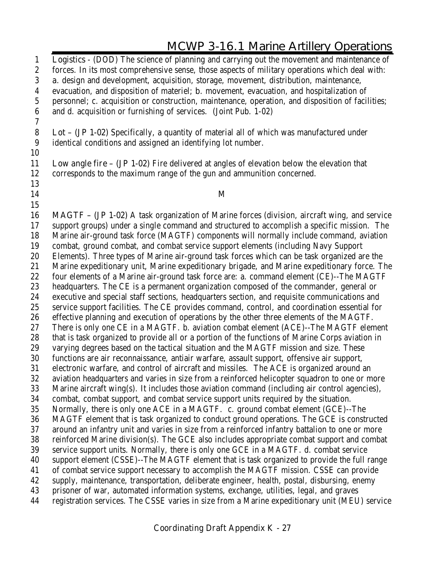**Logistics** - (DOD) The science of planning and carrying out the movement and maintenance of forces. In its most comprehensive sense, those aspects of military operations which deal with: **a**. design and development, acquisition, storage, movement, distribution, maintenance, evacuation, and disposition of materiel; **b**. movement, evacuation, and hospitalization of personnel; c. acquisition or construction, maintenance, operation, and disposition of facilities; and d. acquisition or furnishing of services. (Joint Pub. 1-02) **Lot – (JP 1-02)** Specifically, a quantity of material all of which was manufactured under identical conditions and assigned an identifying lot number. **Low angle fire – (JP 1-02)** Fire delivered at angles of elevation below the elevation that corresponds to the maximum range of the gun and ammunition concerned. **M MAGTF – (JP 1-02)** A task organization of Marine forces (division, aircraft wing, and service support groups) under a single command and structured to accomplish a specific mission. The Marine air-ground task force (MAGTF) components will normally include command, aviation combat, ground combat, and combat service support elements (including Navy Support Elements). Three types of Marine air-ground task forces which can be task organized are the Marine expeditionary unit, Marine expeditionary brigade, and Marine expeditionary force. The 22 four elements of a Marine air-ground task force are: a. command element (CE)--The MAGTF headquarters. The CE is a permanent organization composed of the commander, general or executive and special staff sections, headquarters section, and requisite communications and service support facilities. The CE provides command, control, and coordination essential for effective planning and execution of operations by the other three elements of the MAGTF. There is only one CE in a MAGTF. b. aviation combat element (ACE)--The MAGTF element that is task organized to provide all or a portion of the functions of Marine Corps aviation in varying degrees based on the tactical situation and the MAGTF mission and size. These functions are air reconnaissance, antiair warfare, assault support, offensive air support, electronic warfare, and control of aircraft and missiles. The ACE is organized around an aviation headquarters and varies in size from a reinforced helicopter squadron to one or more Marine aircraft wing(s). It includes those aviation command (including air control agencies), combat, combat support, and combat service support units required by the situation. Normally, there is only one ACE in a MAGTF. c. ground combat element (GCE)--The MAGTF element that is task organized to conduct ground operations. The GCE is constructed around an infantry unit and varies in size from a reinforced infantry battalion to one or more reinforced Marine division(s). The GCE also includes appropriate combat support and combat service support units. Normally, there is only one GCE in a MAGTF. d. combat service support element (CSSE)--The MAGTF element that is task organized to provide the full range of combat service support necessary to accomplish the MAGTF mission. CSSE can provide supply, maintenance, transportation, deliberate engineer, health, postal, disbursing, enemy prisoner of war, automated information systems, exchange, utilities, legal, and graves registration services. The CSSE varies in size from a Marine expeditionary unit (MEU) service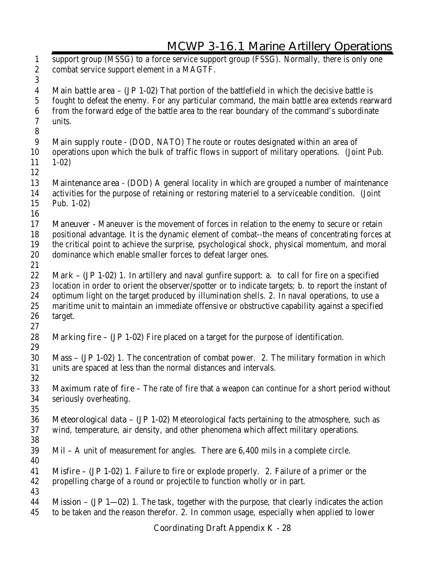**Coordinating Draft Appendix K - 28** support group (MSSG) to a force service support group (FSSG). Normally, there is only one combat service support element in a MAGTF. **Main battle area – (JP 1-02)** That portion of the battlefield in which the decisive battle is fought to defeat the enemy. For any particular command, the main battle area extends rearward from the forward edge of the battle area to the rear boundary of the command's subordinate units. **Main supply route** - (DOD, NATO) The route or routes designated within an area of operations upon which the bulk of traffic flows in support of military operations. (Joint Pub. 1-02) **Maintenance area** - (DOD) A general locality in which are grouped a number of maintenance activities for the purpose of retaining or restoring materiel to a serviceable condition. (Joint Pub. 1-02) **Maneuver -** Maneuver is the movement of forces in relation to the enemy to secure or retain positional advantage. It is the dynamic element of combat--the means of concentrating forces at the critical point to achieve the surprise, psychological shock, physical momentum, and moral dominance which enable smaller forces to defeat larger ones. **Mark – (JP 1-02)** 1. In artillery and naval gunfire support: a. to call for fire on a specified location in order to orient the observer/spotter or to indicate targets; b. to report the instant of optimum light on the target produced by illumination shells. 2. In naval operations, to use a maritime unit to maintain an immediate offensive or obstructive capability against a specified target. **Marking fire – (JP 1-02)** Fire placed on a target for the purpose of identification. **Mass – (JP 1-02)** 1. The concentration of combat power. 2. The military formation in which units are spaced at less than the normal distances and intervals. **Maximum rate of fire –** The rate of fire that a weapon can continue for a short period without seriously overheating. **Meteorological data – (JP 1-02)** Meteorological facts pertaining to the atmosphere, such as wind, temperature, air density, and other phenomena which affect military operations. **Mil –** A unit of measurement for angles. There are 6,400 mils in a complete circle. **Misfire – (JP 1-02)** 1. Failure to fire or explode properly. 2. Failure of a primer or the propelling charge of a round or projectile to function wholly or in part. **Mission – (JP 1—02)** 1. The task, together with the purpose, that clearly indicates the action to be taken and the reason therefor. 2. In common usage, especially when applied to lower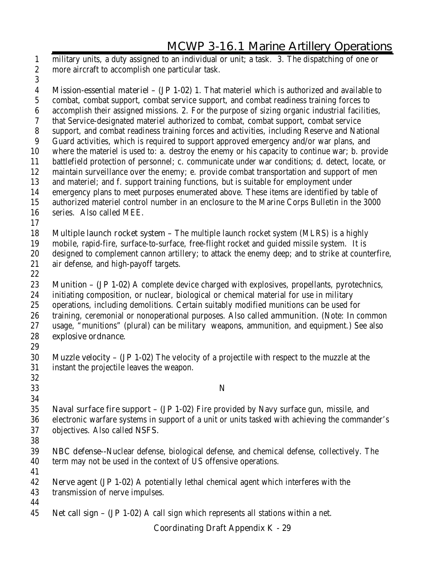military units, a duty assigned to an individual or unit; a task. 3. The dispatching of one or more aircraft to accomplish one particular task.

 **Mission-essential materiel – (JP 1-02)** 1. That materiel which is authorized and available to combat, combat support, combat service support, and combat readiness training forces to accomplish their assigned missions. 2. For the purpose of sizing organic industrial facilities, that Service-designated materiel authorized to combat, combat support, combat service support, and combat readiness training forces and activities, including Reserve and National Guard activities, which is required to support approved emergency and/or war plans, and where the materiel is used to: a. destroy the enemy or his capacity to continue war; b. provide battlefield protection of personnel; c. communicate under war conditions; d. detect, locate, or maintain surveillance over the enemy; e. provide combat transportation and support of men and materiel; and f. support training functions, but is suitable for employment under emergency plans to meet purposes enumerated above. These items are identified by table of authorized materiel control number in an enclosure to the Marine Corps Bulletin in the 3000 series. Also called MEE. **Multiple launch rocket system –** The multiple launch rocket system (MLRS) is a highly mobile, rapid-fire, surface-to-surface, free-flight rocket and guided missile system. It is designed to complement cannon artillery; to attack the enemy deep; and to strike at counterfire, air defense, and high-payoff targets. **Munition – (JP 1-02)** A complete device charged with explosives, propellants, pyrotechnics, initiating composition, or nuclear, biological or chemical material for use in military operations, including demolitions. Certain suitably modified munitions can be used for training, ceremonial or nonoperational purposes. Also called **ammunition.** (Note: In common usage, "munitions" (plural) can be military weapons, ammunition, and equipment.) See also **explosive ordnance. Muzzle velocity – (JP 1-02)** The velocity of a projectile with respect to the muzzle at the instant the projectile leaves the weapon. **N Naval surface fire support – (JP 1-02)** Fire provided by Navy surface gun, missile, and electronic warfare systems in support of a unit or units tasked with achieving the commander's objectives. Also called **NSFS. NBC defense--**Nuclear defense, biological defense, and chemical defense, collectively. The term may not be used in the context of US offensive operations. **Nerve agent (JP 1-02)** A potentially lethal chemical agent which interferes with the transmission of nerve impulses. 

**Net call sign – (JP 1-02)** A call sign which represents all stations within a net.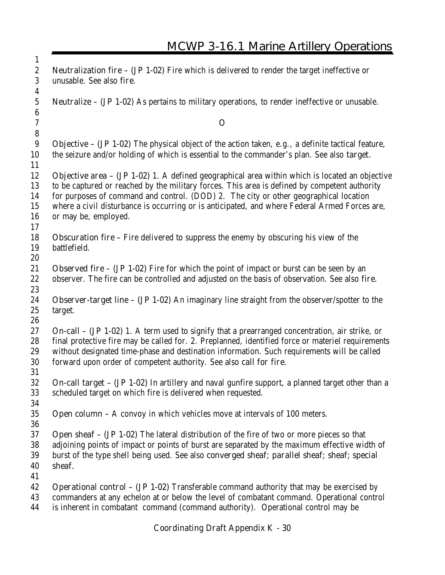| $\bf{l}$                             |                                                                                                                                                                                             |
|--------------------------------------|---------------------------------------------------------------------------------------------------------------------------------------------------------------------------------------------|
| $\boldsymbol{2}$<br>3                | <b>Neutralization fire - (JP 1-02)</b> Fire which is delivered to render the target ineffective or<br>unusable. See also fire.                                                              |
| 4                                    |                                                                                                                                                                                             |
| $\mathbf{5}$                         | <b>Neutralize - (JP 1-02)</b> As pertains to military operations, to render ineffective or unusable.                                                                                        |
| $\boldsymbol{6}$<br>$\boldsymbol{7}$ | $\mathbf 0$                                                                                                                                                                                 |
| $\bf 8$                              |                                                                                                                                                                                             |
| 9                                    | Objective - (JP 1-02) The physical object of the action taken, e.g., a definite tactical feature,                                                                                           |
| 10                                   | the seizure and/or holding of which is essential to the commander's plan. See also target.                                                                                                  |
| 11<br>12                             | <b>Objective area - (JP 1-02)</b> 1. A defined geographical area within which is located an objective                                                                                       |
| 13                                   | to be captured or reached by the military forces. This area is defined by competent authority                                                                                               |
| 14<br>15                             | for purposes of command and control. (DOD) 2. The city or other geographical location<br>where a civil disturbance is occurring or is anticipated, and where Federal Armed Forces are,      |
| 16                                   | or may be, employed.                                                                                                                                                                        |
| 17                                   |                                                                                                                                                                                             |
| 18                                   | <b>Obscuration fire</b> – Fire delivered to suppress the enemy by obscuring his view of the                                                                                                 |
| 19                                   | battlefield.                                                                                                                                                                                |
| 20                                   |                                                                                                                                                                                             |
| 21                                   | <b>Observed fire – (JP 1-02)</b> Fire for which the point of impact or burst can be seen by an                                                                                              |
| 22<br>23                             | observer. The fire can be controlled and adjusted on the basis of observation. See also fire.                                                                                               |
| 24                                   | <b>Observer-target line – (JP 1-02)</b> An imaginary line straight from the observer/spotter to the                                                                                         |
| 25                                   | target.                                                                                                                                                                                     |
| 26                                   |                                                                                                                                                                                             |
| 27                                   | <b>On-call - (JP 1-02)</b> 1. A term used to signify that a prearranged concentration, air strike, or                                                                                       |
| 28                                   | final protective fire may be called for. 2. Preplanned, identified force or materiel requirements                                                                                           |
| 29                                   | without designated time-phase and destination information. Such requirements will be called                                                                                                 |
| 30                                   | forward upon order of competent authority. See also call for fire.                                                                                                                          |
| 31                                   |                                                                                                                                                                                             |
| 32                                   | On-call target - (JP 1-02) In artillery and naval gunfire support, a planned target other than a                                                                                            |
| 33                                   | scheduled target on which fire is delivered when requested.                                                                                                                                 |
| 34                                   |                                                                                                                                                                                             |
| 35                                   | <b>Open column -</b> A convoy in which vehicles move at intervals of $100$ meters.                                                                                                          |
| 36                                   |                                                                                                                                                                                             |
| 37                                   | <b>Open sheaf - (JP 1-02)</b> The lateral distribution of the fire of two or more pieces so that                                                                                            |
| 38                                   | adjoining points of impact or points of burst are separated by the maximum effective width of                                                                                               |
| 39                                   | burst of the type shell being used. See also converged sheaf; parallel sheaf; sheaf; special                                                                                                |
| 40                                   | sheaf.                                                                                                                                                                                      |
| 41<br>42                             |                                                                                                                                                                                             |
| 43                                   | <b>Operational control – (JP 1-02)</b> Transferable command authority that may be exercised by<br>commanders at any echelon at or below the level of combatant command. Operational control |
| 44                                   | is inherent in combatant command (command authority). Operational control may be                                                                                                            |

 $\overline{1}$ 

Æ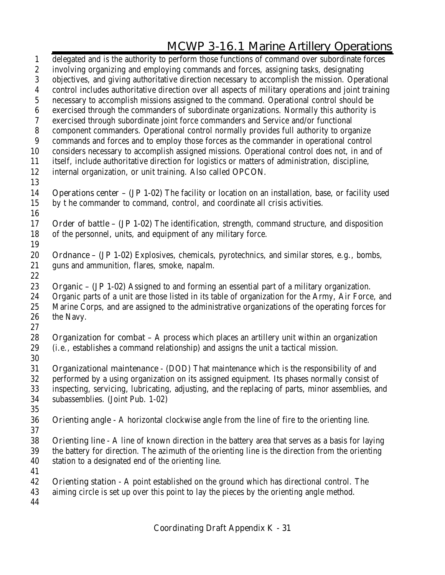delegated and is the authority to perform those functions of command over subordinate forces involving organizing and employing commands and forces, assigning tasks, designating objectives, and giving authoritative direction necessary to accomplish the mission. Operational control includes authoritative direction over all aspects of military operations and joint training necessary to accomplish missions assigned to the command. Operational control should be exercised through the commanders of subordinate organizations. Normally this authority is exercised through subordinate joint force commanders and Service and/or functional component commanders. Operational control normally provides full authority to organize commands and forces and to employ those forces as the commander in operational control considers necessary to accomplish assigned missions. Operational control does not, in and of itself, include authoritative direction for logistics or matters of administration, discipline, internal organization, or unit training. Also called **OPCON. Operations center – (JP 1-02)** The facility or location on an installation, base, or facility used by t he commander to command, control, and coordinate all crisis activities. **Order of battle – (JP 1-02)** The identification, strength, command structure, and disposition of the personnel, units, and equipment of any military force. **Ordnance – (JP 1-02)** Explosives, chemicals, pyrotechnics, and similar stores, e.g., bombs, guns and ammunition, flares, smoke, napalm. **Organic – (JP 1-02)** Assigned to and forming an essential part of a military organization. Organic parts of a unit are those listed in its table of organization for the Army, Air Force, and Marine Corps, and are assigned to the administrative organizations of the operating forces for the Navy. **Organization for combat –** A process which places an artillery unit within an organization (i.e., establishes a command relationship) and assigns the unit a tactical mission. **Organizational maintenance** - (DOD) That maintenance which is the responsibility of and performed by a using organization on its assigned equipment. Its phases normally consist of inspecting, servicing, lubricating, adjusting, and the replacing of parts, minor assemblies, and subassemblies. (Joint Pub. 1-02) **Orienting angle -** A horizontal clockwise angle from the line of fire to the orienting line. **Orienting line -** A line of known direction in the battery area that serves as a basis for laying the battery for direction. The azimuth of the orienting line is the direction from the orienting station to a designated end of the orienting line. **Orienting station -** A point established on the ground which has directional control. The aiming circle is set up over this point to lay the pieces by the orienting angle method.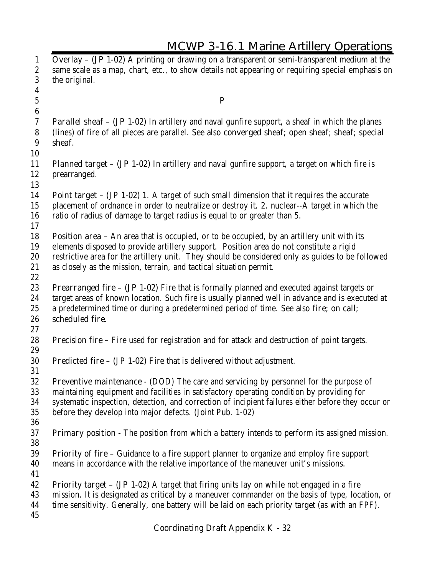| Overlay - (JP 1-02) A printing or drawing on a transparent or semi-transparent medium at the<br>same scale as a map, chart, etc., to show details not appearing or requiring special emphasis on<br><b>Parallel sheaf - (JP 1-02)</b> In artillery and naval gunfire support, a sheaf in which the planes<br>(lines) of fire of all pieces are parallel. See also converged sheaf; open sheaf; sheaf; special<br><b>Planned target - (JP 1-02)</b> In artillery and naval gunfire support, a target on which fire is |
|----------------------------------------------------------------------------------------------------------------------------------------------------------------------------------------------------------------------------------------------------------------------------------------------------------------------------------------------------------------------------------------------------------------------------------------------------------------------------------------------------------------------|
|                                                                                                                                                                                                                                                                                                                                                                                                                                                                                                                      |
|                                                                                                                                                                                                                                                                                                                                                                                                                                                                                                                      |
|                                                                                                                                                                                                                                                                                                                                                                                                                                                                                                                      |
|                                                                                                                                                                                                                                                                                                                                                                                                                                                                                                                      |
|                                                                                                                                                                                                                                                                                                                                                                                                                                                                                                                      |
|                                                                                                                                                                                                                                                                                                                                                                                                                                                                                                                      |
|                                                                                                                                                                                                                                                                                                                                                                                                                                                                                                                      |
|                                                                                                                                                                                                                                                                                                                                                                                                                                                                                                                      |
|                                                                                                                                                                                                                                                                                                                                                                                                                                                                                                                      |
|                                                                                                                                                                                                                                                                                                                                                                                                                                                                                                                      |
|                                                                                                                                                                                                                                                                                                                                                                                                                                                                                                                      |
|                                                                                                                                                                                                                                                                                                                                                                                                                                                                                                                      |
|                                                                                                                                                                                                                                                                                                                                                                                                                                                                                                                      |
| <b>Point target - (JP 1-02)</b> 1. A target of such small dimension that it requires the accurate                                                                                                                                                                                                                                                                                                                                                                                                                    |
| placement of ordnance in order to neutralize or destroy it. 2. nuclear--A target in which the                                                                                                                                                                                                                                                                                                                                                                                                                        |
|                                                                                                                                                                                                                                                                                                                                                                                                                                                                                                                      |
|                                                                                                                                                                                                                                                                                                                                                                                                                                                                                                                      |
| <b>Position area - An area that is occupied, or to be occupied, by an artillery unit with its</b>                                                                                                                                                                                                                                                                                                                                                                                                                    |
| elements disposed to provide artillery support. Position area do not constitute a rigid                                                                                                                                                                                                                                                                                                                                                                                                                              |
| restrictive area for the artillery unit. They should be considered only as guides to be followed                                                                                                                                                                                                                                                                                                                                                                                                                     |
|                                                                                                                                                                                                                                                                                                                                                                                                                                                                                                                      |
|                                                                                                                                                                                                                                                                                                                                                                                                                                                                                                                      |
| <b>Prearranged fire - (JP 1-02)</b> Fire that is formally planned and executed against targets or                                                                                                                                                                                                                                                                                                                                                                                                                    |
| target areas of known location. Such fire is usually planned well in advance and is executed at                                                                                                                                                                                                                                                                                                                                                                                                                      |
| a predetermined time or during a predetermined period of time. See also fire; on call;                                                                                                                                                                                                                                                                                                                                                                                                                               |
|                                                                                                                                                                                                                                                                                                                                                                                                                                                                                                                      |
|                                                                                                                                                                                                                                                                                                                                                                                                                                                                                                                      |
| <b>Precision fire - Fire used for registration and for attack and destruction of point targets.</b>                                                                                                                                                                                                                                                                                                                                                                                                                  |
|                                                                                                                                                                                                                                                                                                                                                                                                                                                                                                                      |
|                                                                                                                                                                                                                                                                                                                                                                                                                                                                                                                      |
|                                                                                                                                                                                                                                                                                                                                                                                                                                                                                                                      |
| <b>Preventive maintenance</b> - (DOD) The care and servicing by personnel for the purpose of                                                                                                                                                                                                                                                                                                                                                                                                                         |
| maintaining equipment and facilities in satisfactory operating condition by providing for                                                                                                                                                                                                                                                                                                                                                                                                                            |
| systematic inspection, detection, and correction of incipient failures either before they occur or                                                                                                                                                                                                                                                                                                                                                                                                                   |
|                                                                                                                                                                                                                                                                                                                                                                                                                                                                                                                      |
|                                                                                                                                                                                                                                                                                                                                                                                                                                                                                                                      |
| <b>Primary position</b> - The position from which a battery intends to perform its assigned mission.                                                                                                                                                                                                                                                                                                                                                                                                                 |
|                                                                                                                                                                                                                                                                                                                                                                                                                                                                                                                      |
| <b>Priority of fire</b> – Guidance to a fire support planner to organize and employ fire support                                                                                                                                                                                                                                                                                                                                                                                                                     |
|                                                                                                                                                                                                                                                                                                                                                                                                                                                                                                                      |
|                                                                                                                                                                                                                                                                                                                                                                                                                                                                                                                      |
| Priority target - (JP 1-02) A target that firing units lay on while not engaged in a fire                                                                                                                                                                                                                                                                                                                                                                                                                            |
| mission. It is designated as critical by a maneuver commander on the basis of type, location, or                                                                                                                                                                                                                                                                                                                                                                                                                     |
| time sensitivity. Generally, one battery will be laid on each priority target (as with an FPF).                                                                                                                                                                                                                                                                                                                                                                                                                      |
|                                                                                                                                                                                                                                                                                                                                                                                                                                                                                                                      |
| means in accordance with the relative importance of the maneuver unit's missions.                                                                                                                                                                                                                                                                                                                                                                                                                                    |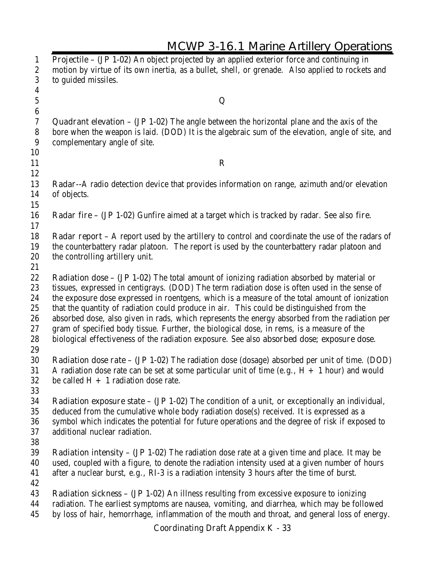| <b>MCWP 3-16.1 Marine Artillery Operations</b>                                                                                                                                                                                                                                                                                                                                                                                                                                                                                                                                                                                                                                         |
|----------------------------------------------------------------------------------------------------------------------------------------------------------------------------------------------------------------------------------------------------------------------------------------------------------------------------------------------------------------------------------------------------------------------------------------------------------------------------------------------------------------------------------------------------------------------------------------------------------------------------------------------------------------------------------------|
| Projectile - (JP 1-02) An object projected by an applied exterior force and continuing in<br>motion by virtue of its own inertia, as a bullet, shell, or grenade. Also applied to rockets and<br>to guided missiles.                                                                                                                                                                                                                                                                                                                                                                                                                                                                   |
| Q                                                                                                                                                                                                                                                                                                                                                                                                                                                                                                                                                                                                                                                                                      |
| <b>Quadrant elevation - (JP 1-02)</b> The angle between the horizontal plane and the axis of the<br>bore when the weapon is laid. (DOD) It is the algebraic sum of the elevation, angle of site, and<br>complementary angle of site.                                                                                                                                                                                                                                                                                                                                                                                                                                                   |
| $\mathbf R$                                                                                                                                                                                                                                                                                                                                                                                                                                                                                                                                                                                                                                                                            |
| <b>Radar--A</b> radio detection device that provides information on range, azimuth and/or elevation<br>of objects.                                                                                                                                                                                                                                                                                                                                                                                                                                                                                                                                                                     |
| <b>Radar fire - (JP 1-02)</b> Gunfire aimed at a target which is tracked by radar. See also fire.                                                                                                                                                                                                                                                                                                                                                                                                                                                                                                                                                                                      |
| Radar report - A report used by the artillery to control and coordinate the use of the radars of<br>the counterbattery radar platoon. The report is used by the counterbattery radar platoon and<br>the controlling artillery unit.                                                                                                                                                                                                                                                                                                                                                                                                                                                    |
| Radiation dose - (JP 1-02) The total amount of ionizing radiation absorbed by material or<br>tissues, expressed in centigrays. (DOD) The term radiation dose is often used in the sense of<br>the exposure dose expressed in roentgens, which is a measure of the total amount of ionization<br>that the quantity of radiation could produce in air. This could be distinguished from the<br>absorbed dose, also given in rads, which represents the energy absorbed from the radiation per<br>gram of specified body tissue. Further, the biological dose, in rems, is a measure of the<br>biological effectiveness of the radiation exposure. See also absorbed dose; exposure dose. |
| <b>Radiation dose rate - (JP 1-02)</b> The radiation dose (dosage) absorbed per unit of time. (DOD)<br>A radiation dose rate can be set at some particular unit of time (e.g., $H + 1$ hour) and would<br>be called $H + 1$ radiation dose rate.                                                                                                                                                                                                                                                                                                                                                                                                                                       |
| <b>Radiation exposure state – (JP 1-02)</b> The condition of a unit, or exceptionally an individual,<br>deduced from the cumulative whole body radiation dose(s) received. It is expressed as a<br>symbol which indicates the potential for future operations and the degree of risk if exposed to<br>additional nuclear radiation.                                                                                                                                                                                                                                                                                                                                                    |
| <b>Radiation intensity – (JP 1-02)</b> The radiation dose rate at a given time and place. It may be<br>used, coupled with a figure, to denote the radiation intensity used at a given number of hours<br>after a nuclear burst, e.g., RI-3 is a radiation intensity 3 hours after the time of burst.                                                                                                                                                                                                                                                                                                                                                                                   |
| <b>Radiation sickness - (JP 1-02)</b> An illness resulting from excessive exposure to ionizing<br>radiation. The earliest symptoms are nausea, vomiting, and diarrhea, which may be followed<br>by loss of hair, hemorrhage, inflammation of the mouth and throat, and general loss of energy.                                                                                                                                                                                                                                                                                                                                                                                         |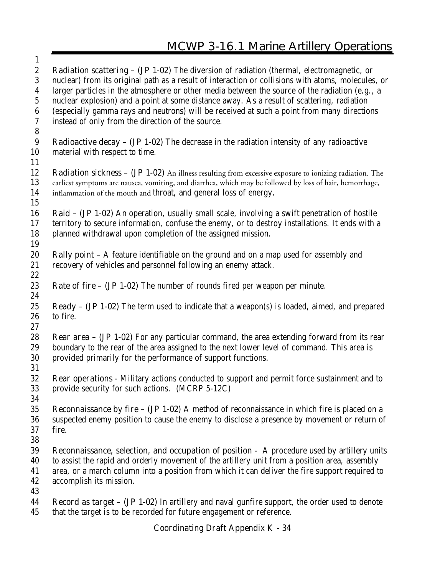| $\bf{l}$         |                                                                                                                                                                                              |
|------------------|----------------------------------------------------------------------------------------------------------------------------------------------------------------------------------------------|
| $\boldsymbol{2}$ | <b>Radiation scattering – (JP 1-02)</b> The diversion of radiation (thermal, electromagnetic, or                                                                                             |
| 3                | nuclear) from its original path as a result of interaction or collisions with atoms, molecules, or                                                                                           |
| 4<br>$\sqrt{5}$  | larger particles in the atmosphere or other media between the source of the radiation (e.g., a<br>nuclear explosion) and a point at some distance away. As a result of scattering, radiation |
| 6                | (especially gamma rays and neutrons) will be received at such a point from many directions                                                                                                   |
| 7                | instead of only from the direction of the source.                                                                                                                                            |
| $8\phantom{1}$   |                                                                                                                                                                                              |
| 9                | <b>Radioactive decay – (JP 1-02)</b> The decrease in the radiation intensity of any radioactive                                                                                              |
| 10               | material with respect to time.                                                                                                                                                               |
| 11               |                                                                                                                                                                                              |
| 12               | <b>Radiation sickness - (JP 1-02)</b> An illness resulting from excessive exposure to ionizing radiation. The                                                                                |
| 13               | earliest symptoms are nausea, vomiting, and diarrhea, which may be followed by loss of hair, hemorrhage,                                                                                     |
| 14               | inflammation of the mouth and throat, and general loss of energy.                                                                                                                            |
| 15               |                                                                                                                                                                                              |
| 16               | <b>Raid - (JP 1-02)</b> An operation, usually small scale, involving a swift penetration of hostile                                                                                          |
| 17               | territory to secure information, confuse the enemy, or to destroy installations. It ends with a                                                                                              |
| 18               | planned withdrawal upon completion of the assigned mission.                                                                                                                                  |
| 19               |                                                                                                                                                                                              |
| 20               | <b>Rally point -</b> A feature identifiable on the ground and on a map used for assembly and                                                                                                 |
| 21               | recovery of vehicles and personnel following an enemy attack.                                                                                                                                |
| 22               |                                                                                                                                                                                              |
| 23               | <b>Rate of fire - (JP 1-02)</b> The number of rounds fired per weapon per minute.                                                                                                            |
| 24               |                                                                                                                                                                                              |
| 25               | <b>Ready – (JP 1-02)</b> The term used to indicate that a weapon(s) is loaded, aimed, and prepared                                                                                           |
| 26               | to fire.                                                                                                                                                                                     |
| 27               |                                                                                                                                                                                              |
| 28               | <b>Rear area - (JP 1-02)</b> For any particular command, the area extending forward from its rear                                                                                            |
| 29               | boundary to the rear of the area assigned to the next lower level of command. This area is                                                                                                   |
| 30               | provided primarily for the performance of support functions.                                                                                                                                 |
| 31<br>32         | Rear operations - Military actions conducted to support and permit force sustainment and to                                                                                                  |
| 33               | provide security for such actions. (MCRP 5-12C)                                                                                                                                              |
| 34               |                                                                                                                                                                                              |
| 35               | <b>Reconnaissance by fire - (JP 1-02)</b> A method of reconnaissance in which fire is placed on a                                                                                            |
| 36               | suspected enemy position to cause the enemy to disclose a presence by movement or return of                                                                                                  |
| 37               | fire.                                                                                                                                                                                        |
| 38               |                                                                                                                                                                                              |
| 39               | <b>Reconnaissance, selection, and occupation of position</b> - A procedure used by artillery units                                                                                           |
| 40               | to assist the rapid and orderly movement of the artillery unit from a position area, assembly                                                                                                |
| 41               | area, or a march column into a position from which it can deliver the fire support required to                                                                                               |
| 42               | accomplish its mission.                                                                                                                                                                      |
| 43               |                                                                                                                                                                                              |
| 44<br>45         | Record as target - (JP 1-02) In artillery and naval gunfire support, the order used to denote<br>that the target is to be recorded for future engagement or reference.                       |

 $\overline{1}$ 

Æ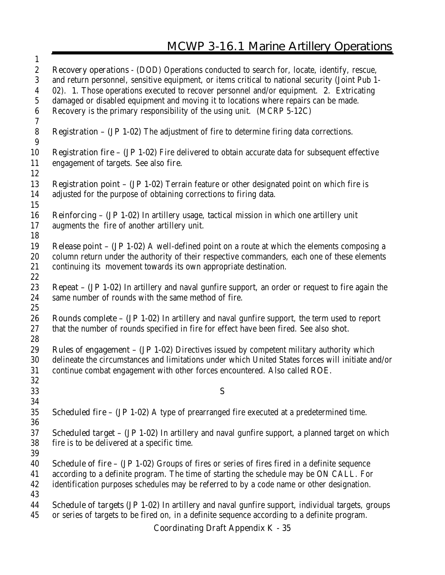| $\mathbf{1}$                |                                                                                                                                                                                 |
|-----------------------------|---------------------------------------------------------------------------------------------------------------------------------------------------------------------------------|
| $\boldsymbol{2}$            | Recovery operations - (DOD) Operations conducted to search for, locate, identify, rescue,                                                                                       |
| 3                           | and return personnel, sensitive equipment, or items critical to national security (Joint Pub 1-                                                                                 |
| 4                           | 02). 1. Those operations executed to recover personnel and/or equipment. 2. Extricating                                                                                         |
| $\sqrt{5}$                  | damaged or disabled equipment and moving it to locations where repairs can be made.                                                                                             |
| 6<br>$\boldsymbol{7}$       | Recovery is the primary responsibility of the using unit. (MCRP 5-12C)                                                                                                          |
| $\bf 8$<br>$\boldsymbol{9}$ | <b>Registration - (JP 1-02)</b> The adjustment of fire to determine firing data corrections.                                                                                    |
| 10<br>11                    | <b>Registration fire – (JP 1-02)</b> Fire delivered to obtain accurate data for subsequent effective<br>engagement of targets. See also fire.                                   |
| 12                          |                                                                                                                                                                                 |
| 13<br>14                    | <b>Registration point - (JP 1-02)</b> Terrain feature or other designated point on which fire is<br>adjusted for the purpose of obtaining corrections to firing data.           |
| 15                          |                                                                                                                                                                                 |
| 16                          | Reinforcing - (JP 1-02) In artillery usage, tactical mission in which one artillery unit                                                                                        |
| 17                          | augments the fire of another artillery unit.                                                                                                                                    |
| 18                          |                                                                                                                                                                                 |
| 19                          | <b>Release point - (JP 1-02)</b> A well-defined point on a route at which the elements composing a                                                                              |
| 20                          | column return under the authority of their respective commanders, each one of these elements                                                                                    |
| 21<br>22                    | continuing its movement towards its own appropriate destination.                                                                                                                |
| 23                          | Repeat - (JP 1-02) In artillery and naval gunfire support, an order or request to fire again the                                                                                |
| 24                          | same number of rounds with the same method of fire.                                                                                                                             |
| 25                          |                                                                                                                                                                                 |
| 26                          | <b>Rounds complete - (JP 1-02)</b> In artillery and naval gunfire support, the term used to report                                                                              |
| 27<br>28                    | that the number of rounds specified in fire for effect have been fired. See also shot.                                                                                          |
| 29                          | <b>Rules of engagement - (JP 1-02)</b> Directives issued by competent military authority which                                                                                  |
| 30<br>31                    | delineate the circumstances and limitations under which United States forces will initiate and/or<br>continue combat engagement with other forces encountered. Also called ROE. |
| 32                          |                                                                                                                                                                                 |
| 33                          | S                                                                                                                                                                               |
| 34                          |                                                                                                                                                                                 |
| 35<br>36                    | <b>Scheduled fire - (JP 1-02)</b> A type of prearranged fire executed at a predetermined time.                                                                                  |
| 37                          | <b>Scheduled target – (JP 1-02)</b> In artillery and naval gunfire support, a planned target on which                                                                           |
| 38<br>39                    | fire is to be delivered at a specific time.                                                                                                                                     |
| 40                          | <b>Schedule of fire - (JP 1-02)</b> Groups of fires or series of fires fired in a definite sequence                                                                             |
| 41                          | according to a definite program. The time of starting the schedule may be ON CALL. For                                                                                          |
| 42<br>43                    | identification purposes schedules may be referred to by a code name or other designation.                                                                                       |
| 44                          | Schedule of targets (JP 1-02) In artillery and naval gunfire support, individual targets, groups                                                                                |
| 45                          | or series of targets to be fired on, in a definite sequence according to a definite program.                                                                                    |
|                             | <b>Coordinating Draft Appendix K - 35</b>                                                                                                                                       |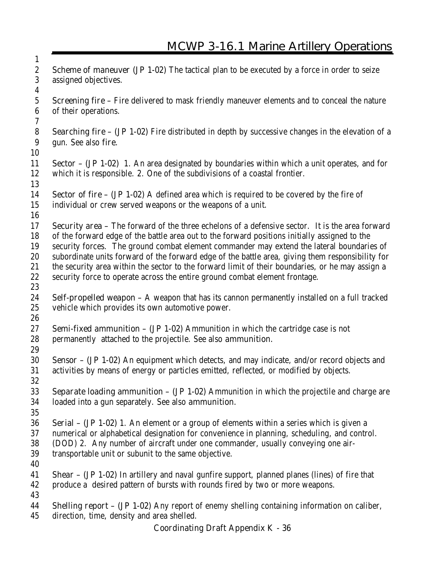**Scheme of maneuver (JP 1-02)** The tactical plan to be executed by a force in order to seize assigned objectives. **Screening fire –** Fire delivered to mask friendly maneuver elements and to conceal the nature of their operations. **Searching fire – (JP 1-02)** Fire distributed in depth by successive changes in the elevation of a gun. See also **fire. Sector – (JP 1-02)** 1. An area designated by boundaries within which a unit operates, and for which it is responsible. 2. One of the subdivisions of a coastal frontier. **Sector of fire – (JP 1-02)** A defined area which is required to be covered by the fire of individual or crew served weapons or the weapons of a unit. **Security area –** The forward of the three echelons of a defensive sector. It is the area forward of the forward edge of the battle area out to the forward positions initially assigned to the security forces. The ground combat element commander may extend the lateral boundaries of subordinate units forward of the forward edge of the battle area, giving them responsibility for the security area within the sector to the forward limit of their boundaries, or he may assign a security force to operate across the entire ground combat element frontage. **Self-propelled weapon –** A weapon that has its cannon permanently installed on a full tracked vehicle which provides its own automotive power. **Semi-fixed ammunition – (JP 1-02)** Ammunition in which the cartridge case is not permanently attached to the projectile. See also **ammunition. Sensor – (JP 1-02)** An equipment which detects, and may indicate, and/or record objects and activities by means of energy or particles emitted, reflected, or modified by objects. **Separate loading ammunition – (JP 1-02)** Ammunition in which the projectile and charge are loaded into a gun separately. See also **ammunition. Serial – (JP 1-02)** 1. An element or a group of elements within a series which is given a numerical or alphabetical designation for convenience in planning, scheduling, and control. (DOD) 2. Any number of aircraft under one commander, usually conveying one air- transportable unit or subunit to the same objective. **Shear – (JP 1-02)** In artillery and naval gunfire support, planned planes (lines) of fire that produce a desired pattern of bursts with rounds fired by two or more weapons. **Shelling report – (JP 1-02)** Any report of enemy shelling containing information on caliber, direction, time, density and area shelled.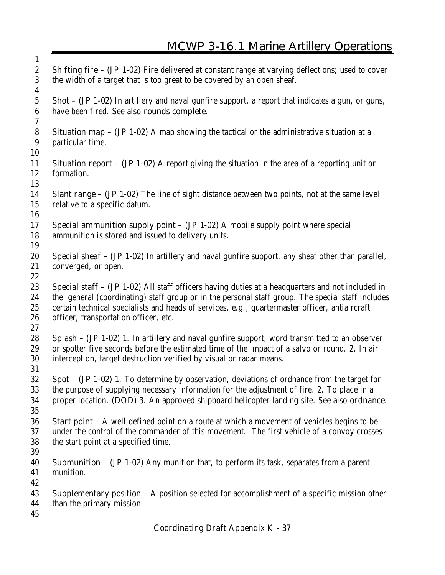| $\mathbf{1}$                         |                                                                                                                                                                                                       |
|--------------------------------------|-------------------------------------------------------------------------------------------------------------------------------------------------------------------------------------------------------|
| $\boldsymbol{2}$<br>$\boldsymbol{3}$ | Shifting fire - (JP 1-02) Fire delivered at constant range at varying deflections; used to cover<br>the width of a target that is too great to be covered by an open sheaf.                           |
| $\boldsymbol{4}$                     |                                                                                                                                                                                                       |
| $\mathbf{5}$<br>$\boldsymbol{6}$     | <b>Shot - (JP 1-02)</b> In artillery and naval gunfire support, a report that indicates a gun, or guns,<br>have been fired. See also rounds complete.                                                 |
| $\boldsymbol{7}$                     |                                                                                                                                                                                                       |
| ${\bf 8}$<br>$\boldsymbol{9}$        | <b>Situation map – (JP 1-02)</b> A map showing the tactical or the administrative situation at a<br>particular time.                                                                                  |
| 10                                   |                                                                                                                                                                                                       |
| 11<br>12                             | <b>Situation report – (JP 1-02)</b> A report giving the situation in the area of a reporting unit or<br>formation.                                                                                    |
| 13                                   |                                                                                                                                                                                                       |
| 14<br>15                             | <b>Slant range - (JP 1-02)</b> The line of sight distance between two points, not at the same level<br>relative to a specific datum.                                                                  |
| 16                                   |                                                                                                                                                                                                       |
| 17<br>18                             | <b>Special ammunition supply point - (JP 1-02)</b> A mobile supply point where special<br>ammunition is stored and issued to delivery units.                                                          |
| 19                                   |                                                                                                                                                                                                       |
| 20<br>21                             | <b>Special sheaf - (JP 1-02)</b> In artillery and naval gunfire support, any sheaf other than parallel,                                                                                               |
| 22                                   | converged, or open.                                                                                                                                                                                   |
|                                      |                                                                                                                                                                                                       |
| 23<br>24                             | Special staff - (JP 1-02) All staff officers having duties at a headquarters and not included in<br>the general (coordinating) staff group or in the personal staff group. The special staff includes |
| 25                                   | certain technical specialists and heads of services, e.g., quartermaster officer, antiaircraft                                                                                                        |
| 26                                   | officer, transportation officer, etc.                                                                                                                                                                 |
| 27                                   |                                                                                                                                                                                                       |
| 28                                   | Splash - (JP 1-02) 1. In artillery and naval gunfire support, word transmitted to an observer                                                                                                         |
| 29                                   | or spotter five seconds before the estimated time of the impact of a salvo or round. 2. In air                                                                                                        |
| 30                                   | interception, target destruction verified by visual or radar means.                                                                                                                                   |
| 31                                   |                                                                                                                                                                                                       |
| 32                                   | Spot - (JP 1-02) 1. To determine by observation, deviations of ordnance from the target for                                                                                                           |
| 33                                   | the purpose of supplying necessary information for the adjustment of fire. 2. To place in a                                                                                                           |
| 34                                   | proper location. (DOD) 3. An approved shipboard helicopter landing site. See also ordnance.                                                                                                           |
| 35                                   |                                                                                                                                                                                                       |
| 36                                   | <b>Start point - A</b> well defined point on a route at which a movement of vehicles begins to be                                                                                                     |
| 37                                   | under the control of the commander of this movement. The first vehicle of a convoy crosses                                                                                                            |
| 38                                   | the start point at a specified time.                                                                                                                                                                  |
| 39                                   |                                                                                                                                                                                                       |
| 40                                   | <b>Submunition – (JP 1-02)</b> Any munition that, to perform its task, separates from a parent                                                                                                        |
| 41                                   | munition.                                                                                                                                                                                             |
| 42                                   |                                                                                                                                                                                                       |
| 43                                   | <b>Supplementary position –</b> A position selected for accomplishment of a specific mission other                                                                                                    |
| 44                                   | than the primary mission.                                                                                                                                                                             |
| 45                                   |                                                                                                                                                                                                       |
|                                      | <b>Coordinating Draft Appendix K - 37</b>                                                                                                                                                             |

Æ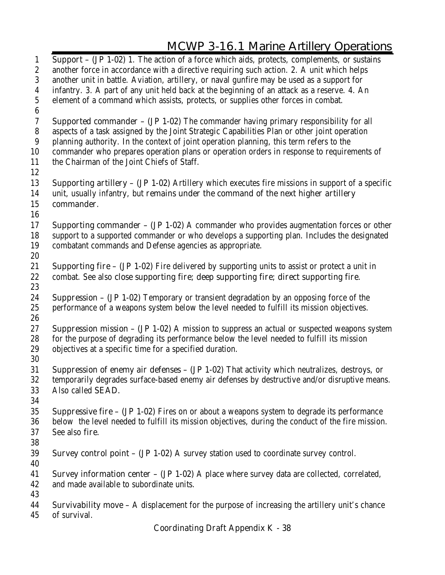**Support – (JP 1-02)** 1. The action of a force which aids, protects, complements, or sustains another force in accordance with a directive requiring such action. 2. A unit which helps another unit in battle. Aviation, artillery, or naval gunfire may be used as a support for infantry. 3. A part of any unit held back at the beginning of an attack as a reserve. 4. An element of a command which assists, protects, or supplies other forces in combat. **Supported commander – (JP 1-02)** The commander having primary responsibility for all aspects of a task assigned by the Joint Strategic Capabilities Plan or other joint operation planning authority. In the context of joint operation planning, this term refers to the commander who prepares operation plans or operation orders in response to requirements of the Chairman of the Joint Chiefs of Staff. **Supporting artillery – (JP 1-02)** Artillery which executes fire missions in support of a specific unit, usually infantry, but **remains under the command of the next higher artillery commander**. **Supporting commander – (JP 1-02)** A commander who provides augmentation forces or other support to a supported commander or who develops a supporting plan. Includes the designated combatant commands and Defense agencies as appropriate. **Supporting fire – (JP 1-02)** Fire delivered by supporting units to assist or protect a unit in combat. See also **close supporting fire; deep supporting fire; direct supporting fire**. **Suppression – (JP 1-02)** Temporary or transient degradation by an opposing force of the performance of a weapons system below the level needed to fulfill its mission objectives. **Suppression mission – (JP 1-02)** A mission to suppress an actual or suspected weapons system for the purpose of degrading its performance below the level needed to fulfill its mission objectives at a specific time for a specified duration. **Suppression of enemy air defenses – (JP 1-02)** That activity which neutralizes, destroys, or temporarily degrades surface-based enemy air defenses by destructive and/or disruptive means. Also called **SEAD. Suppressive fire – (JP 1-02)** Fires on or about a weapons system to degrade its performance below the level needed to fulfill its mission objectives, during the conduct of the fire mission. See also **fire. Survey control point – (JP 1-02)** A survey station used to coordinate survey control. **Survey information center – (JP 1-02)** A place where survey data are collected, correlated, and made available to subordinate units. **Survivability move –** A displacement for the purpose of increasing the artillery unit's chance of survival.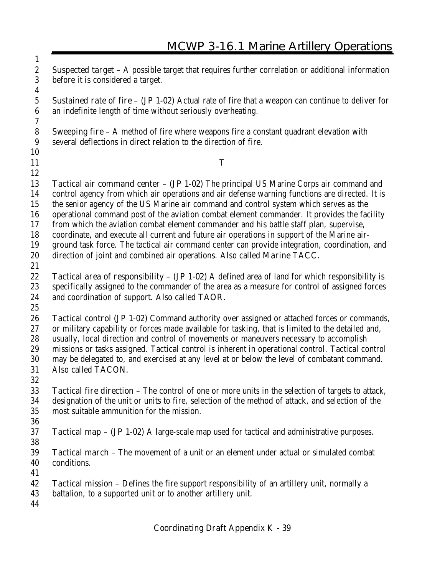**Suspected target –** A possible target that requires further correlation or additional information before it is considered a target. **Sustained rate of fire – (JP 1-02)** Actual rate of fire that a weapon can continue to deliver for an indefinite length of time without seriously overheating. **Sweeping fire –** A method of fire where weapons fire a constant quadrant elevation with several deflections in direct relation to the direction of fire. **T Tactical air command center – (JP 1-02)** The principal US Marine Corps air command and control agency from which air operations and air defense warning functions are directed. It is the senior agency of the US Marine air command and control system which serves as the operational command post of the aviation combat element commander. It provides the facility from which the aviation combat element commander and his battle staff plan, supervise, coordinate, and execute all current and future air operations in support of the Marine air- ground task force. The tactical air command center can provide integration, coordination, and direction of joint and combined air operations. Also called **Marine TACC. Tactical area of responsibility – (JP 1-02)** A defined area of land for which responsibility is specifically assigned to the commander of the area as a measure for control of assigned forces and coordination of support. Also called **TAOR. Tactical control (JP 1-02)** Command authority over assigned or attached forces or commands, or military capability or forces made available for tasking, that is limited to the detailed and, usually, local direction and control of movements or maneuvers necessary to accomplish missions or tasks assigned. Tactical control is inherent in operational control. Tactical control may be delegated to, and exercised at any level at or below the level of combatant command. Also called **TACON. Tactical fire direction –** The control of one or more units in the selection of targets to attack, designation of the unit or units to fire, selection of the method of attack, and selection of the most suitable ammunition for the mission. **Tactical map – (JP 1-02)** A large-scale map used for tactical and administrative purposes. **Tactical march –** The movement of a unit or an element under actual or simulated combat conditions. **Tactical mission –** Defines the fire support responsibility of an artillery unit, normally a battalion, to a supported unit or to another artillery unit.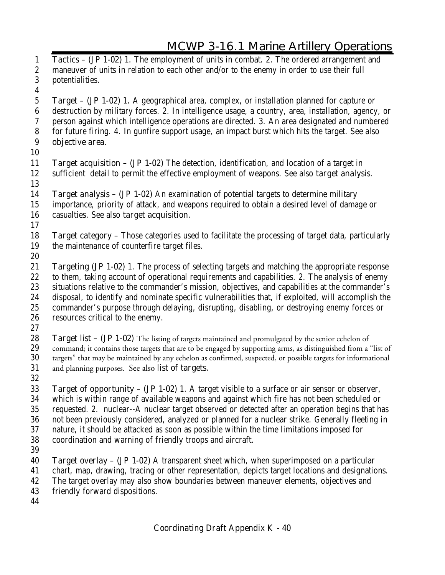**Tactics – (JP 1-02)** 1. The employment of units in combat. 2. The ordered arrangement and maneuver of units in relation to each other and/or to the enemy in order to use their full potentialities. **Target – (JP 1-02)** 1. A geographical area, complex, or installation planned for capture or destruction by military forces. 2. In intelligence usage, a country, area, installation, agency, or person against which intelligence operations are directed. 3. An area designated and numbered for future firing. 4. In gunfire support usage, an impact burst which hits the target. See also **objective area. Target acquisition – (JP 1-02)** The detection, identification, and location of a target in sufficient detail to permit the effective employment of weapons. See also **target analysis**. **Target analysis – (JP 1-02)** An examination of potential targets to determine military importance, priority of attack, and weapons required to obtain a desired level of damage or casualties. See also **target acquisition**. **Target category –** Those categories used to facilitate the processing of target data, particularly the maintenance of counterfire target files. **Targeting (JP 1-02)** 1. The process of selecting targets and matching the appropriate response to them, taking account of operational requirements and capabilities. 2. The analysis of enemy situations relative to the commander's mission, objectives, and capabilities at the commander's disposal, to identify and nominate specific vulnerabilities that, if exploited, will accomplish the commander's purpose through delaying, disrupting, disabling, or destroying enemy forces or resources critical to the enemy. **Target list – (JP 1-02)** The listing of targets maintained and promulgated by the senior echelon of command; it contains those targets that are to be engaged by supporting arms, as distinguished from a command; it contains those targets that are to be engaged by supporting arms, as distinguished from a "list of targets" that may be maintained by any echelon as confirmed, suspected, or possible targets for informational and planning purposes. See also **list of targets**. **Target of opportunity – (JP 1-02)** 1. A target visible to a surface or air sensor or observer, which is within range of available weapons and against which fire has not been scheduled or requested. 2. nuclear--A nuclear target observed or detected after an operation begins that has not been previously considered, analyzed or planned for a nuclear strike. Generally fleeting in nature, it should be attacked as soon as possible within the time limitations imposed for coordination and warning of friendly troops and aircraft. **Target overlay – (JP 1-02)** A transparent sheet which, when superimposed on a particular chart, map, drawing, tracing or other representation, depicts target locations and designations. The target overlay may also show boundaries between maneuver elements, objectives and friendly forward dispositions.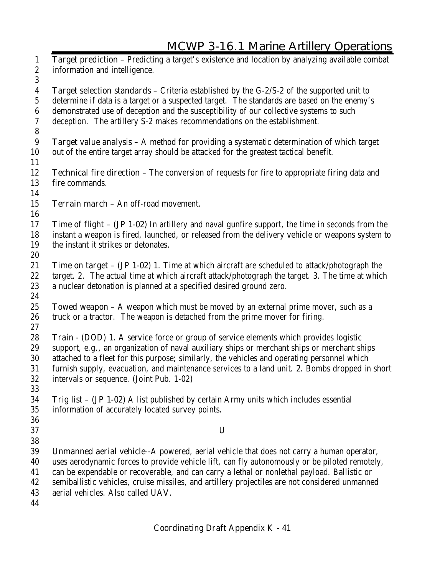**Target prediction –** Predicting a target's existence and location by analyzing available combat information and intelligence. **Target selection standards –** Criteria established by the G-2/S-2 of the supported unit to determine if data is a target or a suspected target. The standards are based on the enemy's demonstrated use of deception and the susceptibility of our collective systems to such deception. The artillery S-2 makes recommendations on the establishment. **Target value analysis –** A method for providing a systematic determination of which target out of the entire target array should be attacked for the greatest tactical benefit. **Technical fire direction –** The conversion of requests for fire to appropriate firing data and fire commands. **Terrain march –** An off-road movement. **Time of flight – (JP 1-02)** In artillery and naval gunfire support, the time in seconds from the instant a weapon is fired, launched, or released from the delivery vehicle or weapons system to the instant it strikes or detonates. **Time on target – (JP 1-02)** 1. Time at which aircraft are scheduled to attack/photograph the target. 2. The actual time at which aircraft attack/photograph the target. 3. The time at which a nuclear detonation is planned at a specified desired ground zero. **Towed weapon –** A weapon which must be moved by an external prime mover, such as a truck or a tractor. The weapon is detached from the prime mover for firing. **Train** - (DOD) **1.** A service force or group of service elements which provides logistic support, e.g., an organization of naval auxiliary ships or merchant ships or merchant ships attached to a fleet for this purpose; similarly, the vehicles and operating personnel which furnish supply, evacuation, and maintenance services to a land unit. **2.** Bombs dropped in short intervals or sequence. (Joint Pub. 1-02) **Trig list – (JP 1-02)** A list published by certain Army units which includes essential information of accurately located survey points. **U Unmanned aerial vehicle--**A powered, aerial vehicle that does not carry a human operator, uses aerodynamic forces to provide vehicle lift, can fly autonomously or be piloted remotely, can be expendable or recoverable, and can carry a lethal or nonlethal payload. Ballistic or semiballistic vehicles, cruise missiles, and artillery projectiles are not considered unmanned aerial vehicles. Also called **UAV.**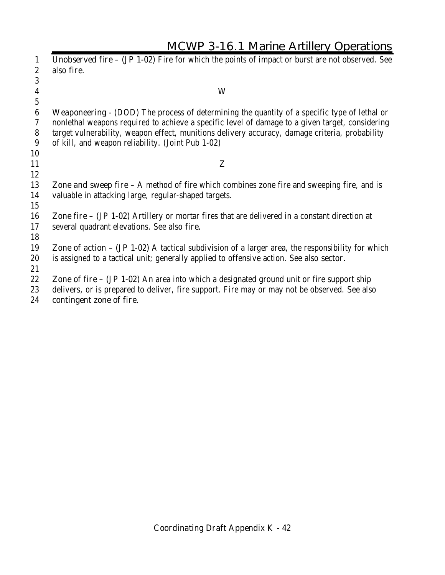|                  | <b>MCWP 3-16.1 Marine Artillery Operations</b>                                                        |
|------------------|-------------------------------------------------------------------------------------------------------|
| 1                | <b>Unobserved fire - (JP 1-02)</b> Fire for which the points of impact or burst are not observed. See |
| $\boldsymbol{2}$ | also fire.                                                                                            |
| 3                |                                                                                                       |
| $\boldsymbol{4}$ | W                                                                                                     |
| $\mathbf{5}$     |                                                                                                       |
| 6                | <b>Weaponeering</b> - (DOD) The process of determining the quantity of a specific type of lethal or   |
| 7                | nonlethal weapons required to achieve a specific level of damage to a given target, considering       |
| $\bf 8$          | target vulnerability, weapon effect, munitions delivery accuracy, damage criteria, probability        |
| 9                | of kill, and weapon reliability. (Joint Pub 1-02)                                                     |
| 10               |                                                                                                       |
| 11               | Z                                                                                                     |
| 12               |                                                                                                       |
| 13               | <b>Zone and sweep fire</b> – A method of fire which combines zone fire and sweeping fire, and is      |
| 14<br>15         | valuable in attacking large, regular-shaped targets.                                                  |
| 16               | <b>Zone fire – (JP 1-02)</b> Artillery or mortar fires that are delivered in a constant direction at  |
| 17               | several quadrant elevations. See also fire.                                                           |
| 18               |                                                                                                       |
| 19               | Zone of $action - (JP 1-02)$ A tactical subdivision of a larger area, the responsibility for which    |
| 20               | is assigned to a tactical unit; generally applied to offensive action. See also <b>sector</b> .       |
| 21               |                                                                                                       |
| 22               | <b>Zone of fire – (JP 1-02)</b> An area into which a designated ground unit or fire support ship      |
| 23               | delivers, or is prepared to deliver, fire support. Fire may or may not be observed. See also          |

**contingent zone of fire.**